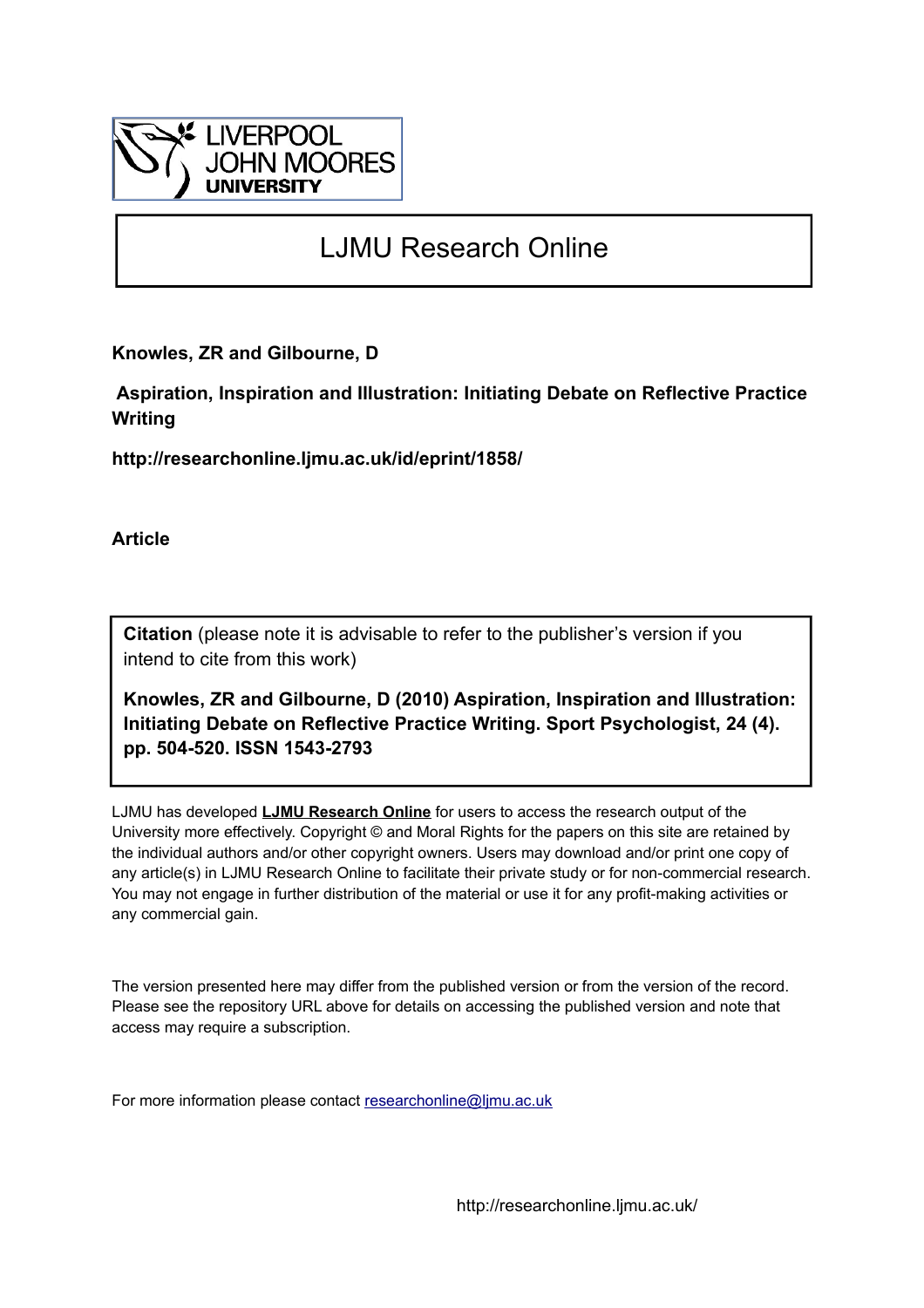

# LJMU Research Online

**Knowles, ZR and Gilbourne, D**

 **Aspiration, Inspiration and Illustration: Initiating Debate on Reflective Practice Writing**

**http://researchonline.ljmu.ac.uk/id/eprint/1858/**

**Article**

**Citation** (please note it is advisable to refer to the publisher's version if you intend to cite from this work)

**Knowles, ZR and Gilbourne, D (2010) Aspiration, Inspiration and Illustration: Initiating Debate on Reflective Practice Writing. Sport Psychologist, 24 (4). pp. 504-520. ISSN 1543-2793** 

LJMU has developed **[LJMU Research Online](http://researchonline.ljmu.ac.uk/)** for users to access the research output of the University more effectively. Copyright © and Moral Rights for the papers on this site are retained by the individual authors and/or other copyright owners. Users may download and/or print one copy of any article(s) in LJMU Research Online to facilitate their private study or for non-commercial research. You may not engage in further distribution of the material or use it for any profit-making activities or any commercial gain.

The version presented here may differ from the published version or from the version of the record. Please see the repository URL above for details on accessing the published version and note that access may require a subscription.

For more information please contact [researchonline@ljmu.ac.uk](mailto:researchonline@ljmu.ac.uk)

http://researchonline.ljmu.ac.uk/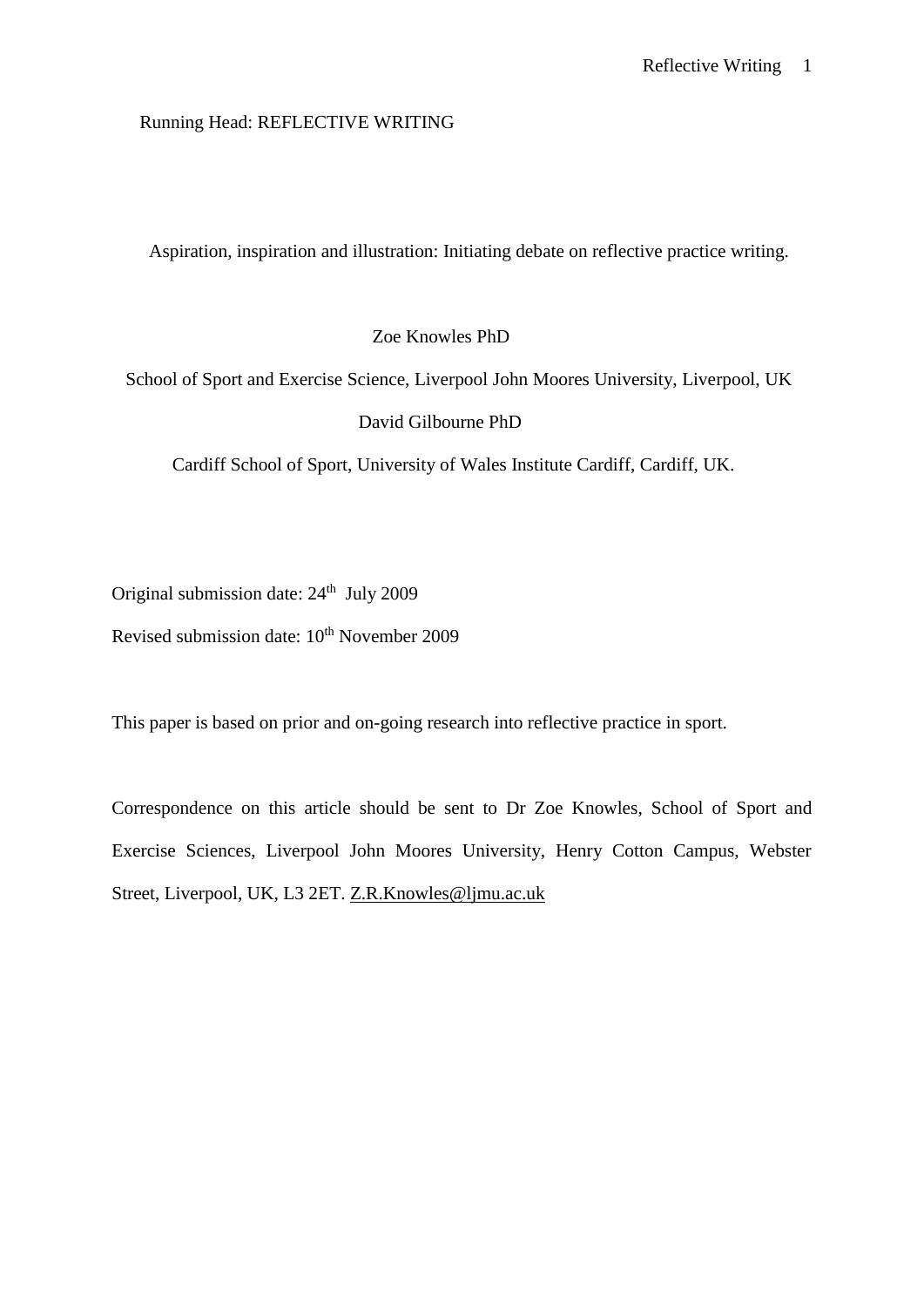Running Head: REFLECTIVE WRITING

Aspiration, inspiration and illustration: Initiating debate on reflective practice writing.

## Zoe Knowles PhD

School of Sport and Exercise Science, Liverpool John Moores University, Liverpool, UK

# David Gilbourne PhD

Cardiff School of Sport, University of Wales Institute Cardiff, Cardiff, UK.

Original submission date:  $24<sup>th</sup>$  July 2009

Revised submission date:  $10^{th}$  November 2009

This paper is based on prior and on-going research into reflective practice in sport.

Correspondence on this article should be sent to Dr Zoe Knowles, School of Sport and Exercise Sciences, Liverpool John Moores University, Henry Cotton Campus, Webster Street, Liverpool, UK, L3 2ET. [Z.R.Knowles@ljmu.ac.uk](mailto:Z.R.Knowles@ljmu.ac.uk)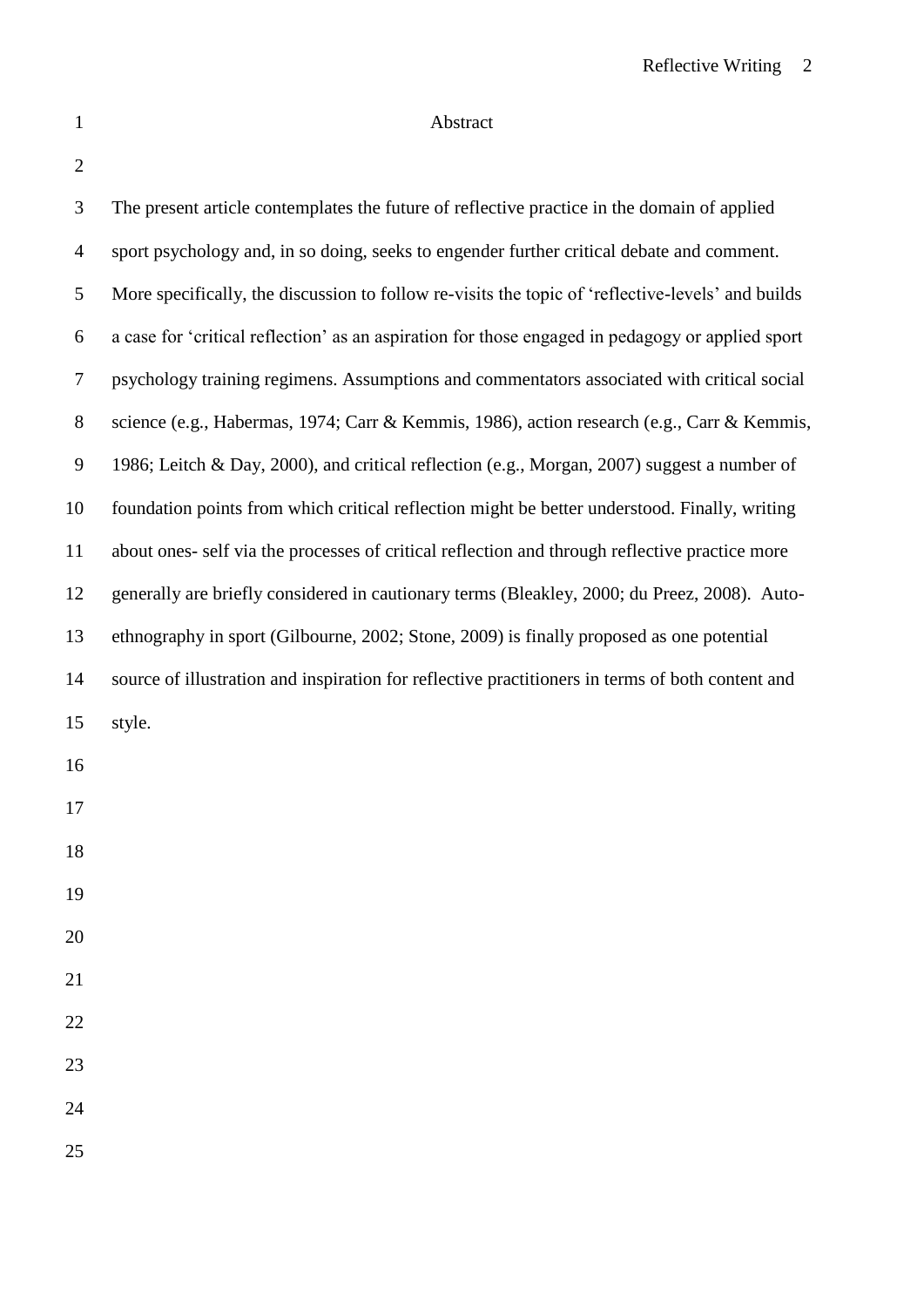### Abstract

| I |  |
|---|--|

 The present article contemplates the future of reflective practice in the domain of applied sport psychology and, in so doing, seeks to engender further critical debate and comment. More specifically, the discussion to follow re-visits the topic of 'reflective-levels' and builds a case for 'critical reflection' as an aspiration for those engaged in pedagogy or applied sport psychology training regimens. Assumptions and commentators associated with critical social science (e.g., Habermas, 1974; Carr & Kemmis, 1986), action research (e.g., Carr & Kemmis, 1986; Leitch & Day, 2000), and critical reflection (e.g., Morgan, 2007) suggest a number of foundation points from which critical reflection might be better understood. Finally, writing about ones- self via the processes of critical reflection and through reflective practice more generally are briefly considered in cautionary terms (Bleakley, 2000; du Preez, 2008). Auto- ethnography in sport (Gilbourne, 2002; Stone, 2009) is finally proposed as one potential source of illustration and inspiration for reflective practitioners in terms of both content and style.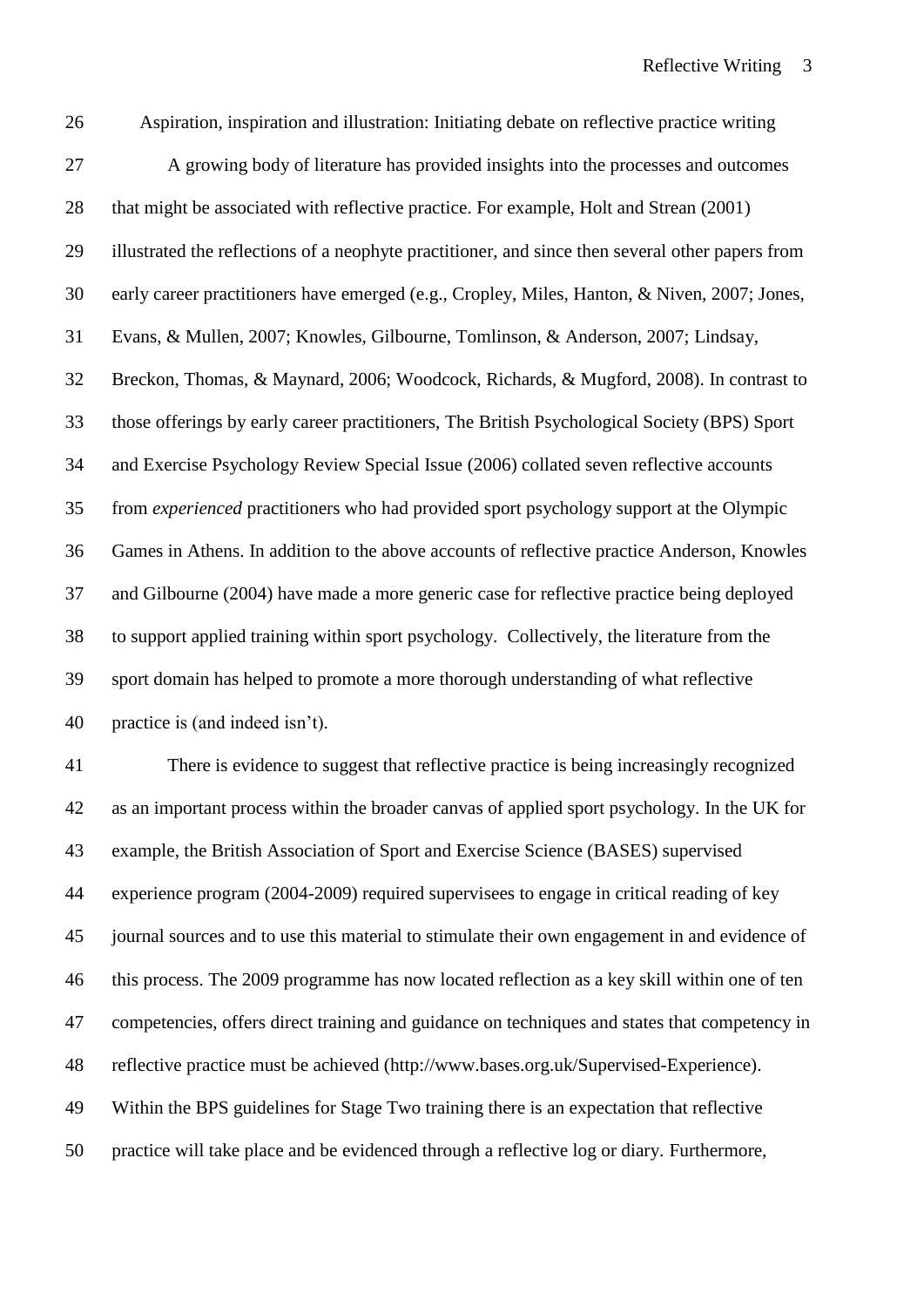Aspiration, inspiration and illustration: Initiating debate on reflective practice writing A growing body of literature has provided insights into the processes and outcomes that might be associated with reflective practice. For example, Holt and Strean (2001) illustrated the reflections of a neophyte practitioner, and since then several other papers from early career practitioners have emerged (e.g., Cropley, Miles, Hanton, & Niven, 2007; Jones, Evans, & Mullen, 2007; Knowles, Gilbourne, Tomlinson, & Anderson, 2007; Lindsay, Breckon, Thomas, & Maynard, 2006; Woodcock, Richards, & Mugford, 2008). In contrast to those offerings by early career practitioners, The British Psychological Society (BPS) Sport and Exercise Psychology Review Special Issue (2006) collated seven reflective accounts from *experienced* practitioners who had provided sport psychology support at the Olympic Games in Athens. In addition to the above accounts of reflective practice Anderson, Knowles and Gilbourne (2004) have made a more generic case for reflective practice being deployed to support applied training within sport psychology. Collectively, the literature from the sport domain has helped to promote a more thorough understanding of what reflective practice is (and indeed isn't).

 There is evidence to suggest that reflective practice is being increasingly recognized as an important process within the broader canvas of applied sport psychology. In the UK for example, the British Association of Sport and Exercise Science (BASES) supervised experience program (2004-2009) required supervisees to engage in critical reading of key journal sources and to use this material to stimulate their own engagement in and evidence of this process. The 2009 programme has now located reflection as a key skill within one of ten competencies, offers direct training and guidance on techniques and states that competency in reflective practice must be achieved (http://www.bases.org.uk/Supervised-Experience). Within the BPS guidelines for Stage Two training there is an expectation that reflective practice will take place and be evidenced through a reflective log or diary. Furthermore,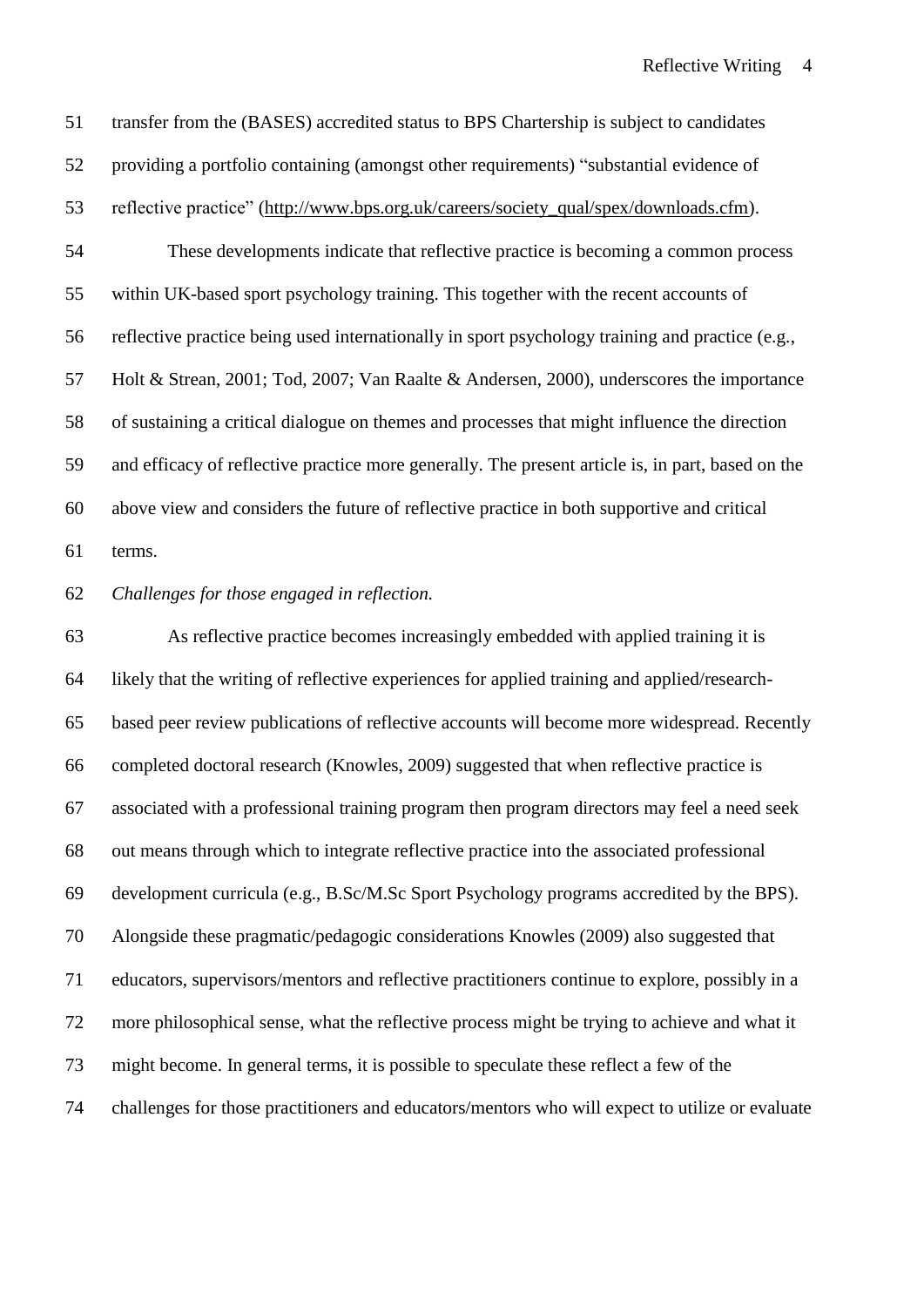transfer from the (BASES) accredited status to BPS Chartership is subject to candidates providing a portfolio containing (amongst other requirements) "substantial evidence of reflective practice" [\(http://www.bps.org.uk/careers/society\\_qual/spex/downloads.cfm\)](http://www.bps.org.uk/careers/society_qual/spex/downloads.cfm). These developments indicate that reflective practice is becoming a common process within UK-based sport psychology training. This together with the recent accounts of reflective practice being used internationally in sport psychology training and practice (e.g., Holt & Strean, 2001; Tod, 2007; Van Raalte & Andersen, 2000), underscores the importance of sustaining a critical dialogue on themes and processes that might influence the direction and efficacy of reflective practice more generally. The present article is, in part, based on the above view and considers the future of reflective practice in both supportive and critical terms.

# *Challenges for those engaged in reflection.*

 As reflective practice becomes increasingly embedded with applied training it is likely that the writing of reflective experiences for applied training and applied/research- based peer review publications of reflective accounts will become more widespread. Recently completed doctoral research (Knowles, 2009) suggested that when reflective practice is associated with a professional training program then program directors may feel a need seek out means through which to integrate reflective practice into the associated professional development curricula (e.g., B.Sc/M.Sc Sport Psychology programs accredited by the BPS). Alongside these pragmatic/pedagogic considerations Knowles (2009) also suggested that educators, supervisors/mentors and reflective practitioners continue to explore, possibly in a more philosophical sense, what the reflective process might be trying to achieve and what it might become. In general terms, it is possible to speculate these reflect a few of the challenges for those practitioners and educators/mentors who will expect to utilize or evaluate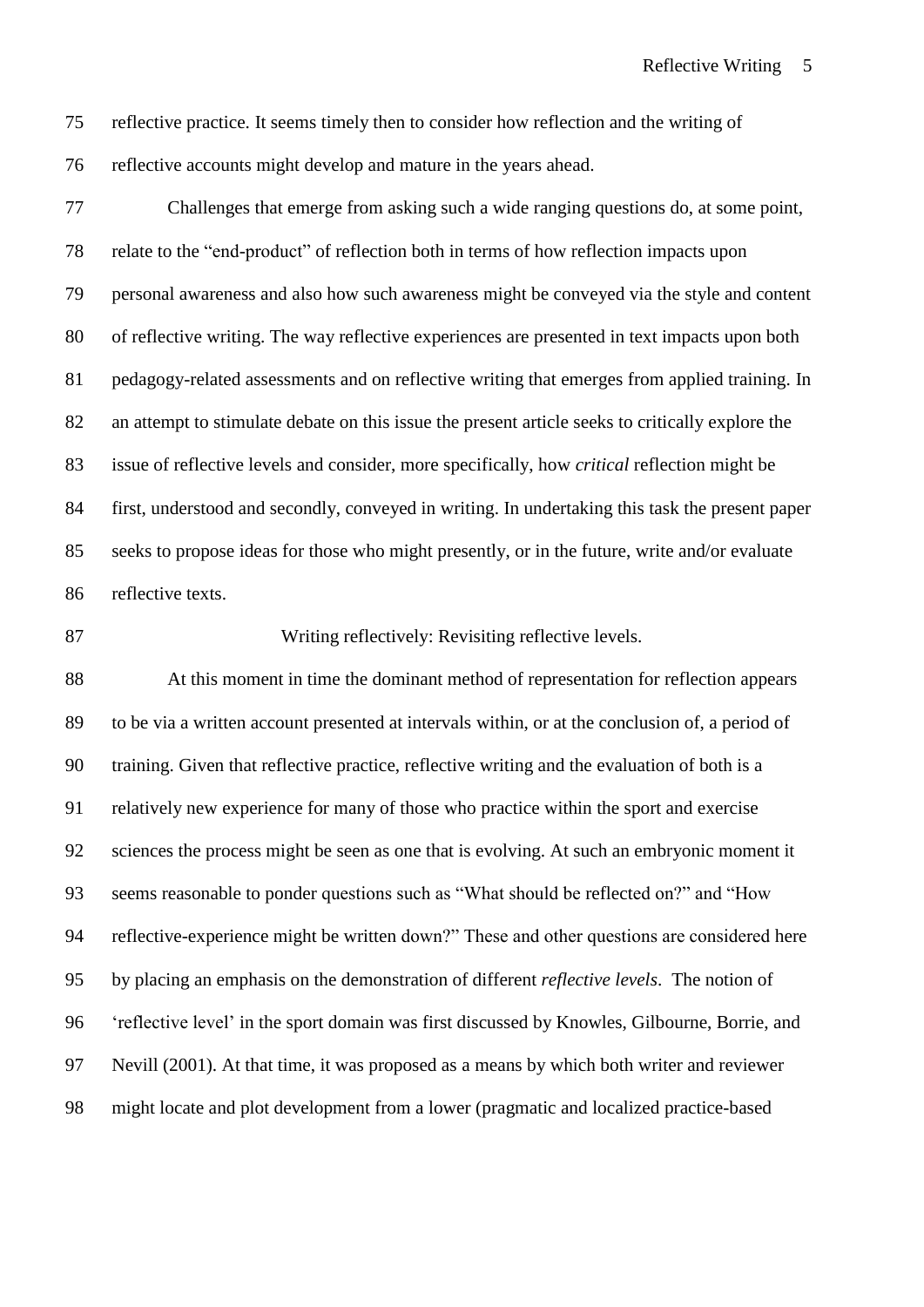reflective practice. It seems timely then to consider how reflection and the writing of reflective accounts might develop and mature in the years ahead.

 Challenges that emerge from asking such a wide ranging questions do, at some point, relate to the "end-product" of reflection both in terms of how reflection impacts upon personal awareness and also how such awareness might be conveyed via the style and content of reflective writing. The way reflective experiences are presented in text impacts upon both pedagogy-related assessments and on reflective writing that emerges from applied training. In an attempt to stimulate debate on this issue the present article seeks to critically explore the issue of reflective levels and consider, more specifically, how *critical* reflection might be first, understood and secondly, conveyed in writing. In undertaking this task the present paper seeks to propose ideas for those who might presently, or in the future, write and/or evaluate reflective texts.

Writing reflectively: Revisiting reflective levels.

 At this moment in time the dominant method of representation for reflection appears to be via a written account presented at intervals within, or at the conclusion of, a period of training. Given that reflective practice, reflective writing and the evaluation of both is a relatively new experience for many of those who practice within the sport and exercise sciences the process might be seen as one that is evolving. At such an embryonic moment it seems reasonable to ponder questions such as "What should be reflected on?" and "How reflective-experience might be written down?" These and other questions are considered here by placing an emphasis on the demonstration of different *reflective levels*. The notion of 'reflective level' in the sport domain was first discussed by Knowles, Gilbourne, Borrie, and Nevill (2001). At that time, it was proposed as a means by which both writer and reviewer might locate and plot development from a lower (pragmatic and localized practice-based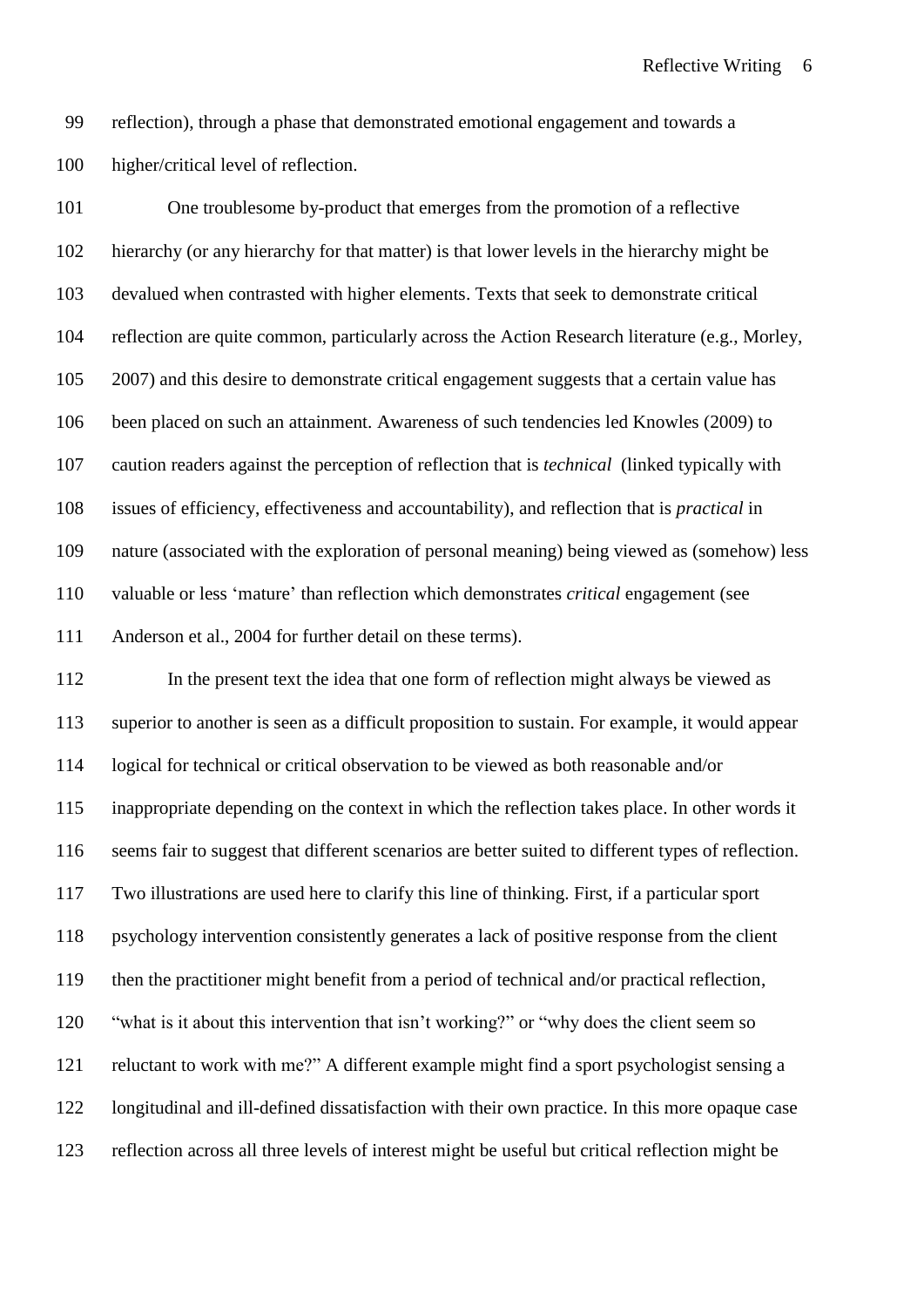reflection), through a phase that demonstrated emotional engagement and towards a higher/critical level of reflection.

 One troublesome by-product that emerges from the promotion of a reflective hierarchy (or any hierarchy for that matter) is that lower levels in the hierarchy might be devalued when contrasted with higher elements. Texts that seek to demonstrate critical reflection are quite common, particularly across the Action Research literature (e.g., Morley, 2007) and this desire to demonstrate critical engagement suggests that a certain value has been placed on such an attainment. Awareness of such tendencies led Knowles (2009) to caution readers against the perception of reflection that is *technical* (linked typically with issues of efficiency, effectiveness and accountability), and reflection that is *practical* in nature (associated with the exploration of personal meaning) being viewed as (somehow) less valuable or less 'mature' than reflection which demonstrates *critical* engagement (see Anderson et al., 2004 for further detail on these terms).

 In the present text the idea that one form of reflection might always be viewed as superior to another is seen as a difficult proposition to sustain. For example, it would appear logical for technical or critical observation to be viewed as both reasonable and/or inappropriate depending on the context in which the reflection takes place. In other words it seems fair to suggest that different scenarios are better suited to different types of reflection. Two illustrations are used here to clarify this line of thinking. First, if a particular sport psychology intervention consistently generates a lack of positive response from the client then the practitioner might benefit from a period of technical and/or practical reflection, "what is it about this intervention that isn't working?" or "why does the client seem so reluctant to work with me?" A different example might find a sport psychologist sensing a longitudinal and ill-defined dissatisfaction with their own practice. In this more opaque case reflection across all three levels of interest might be useful but critical reflection might be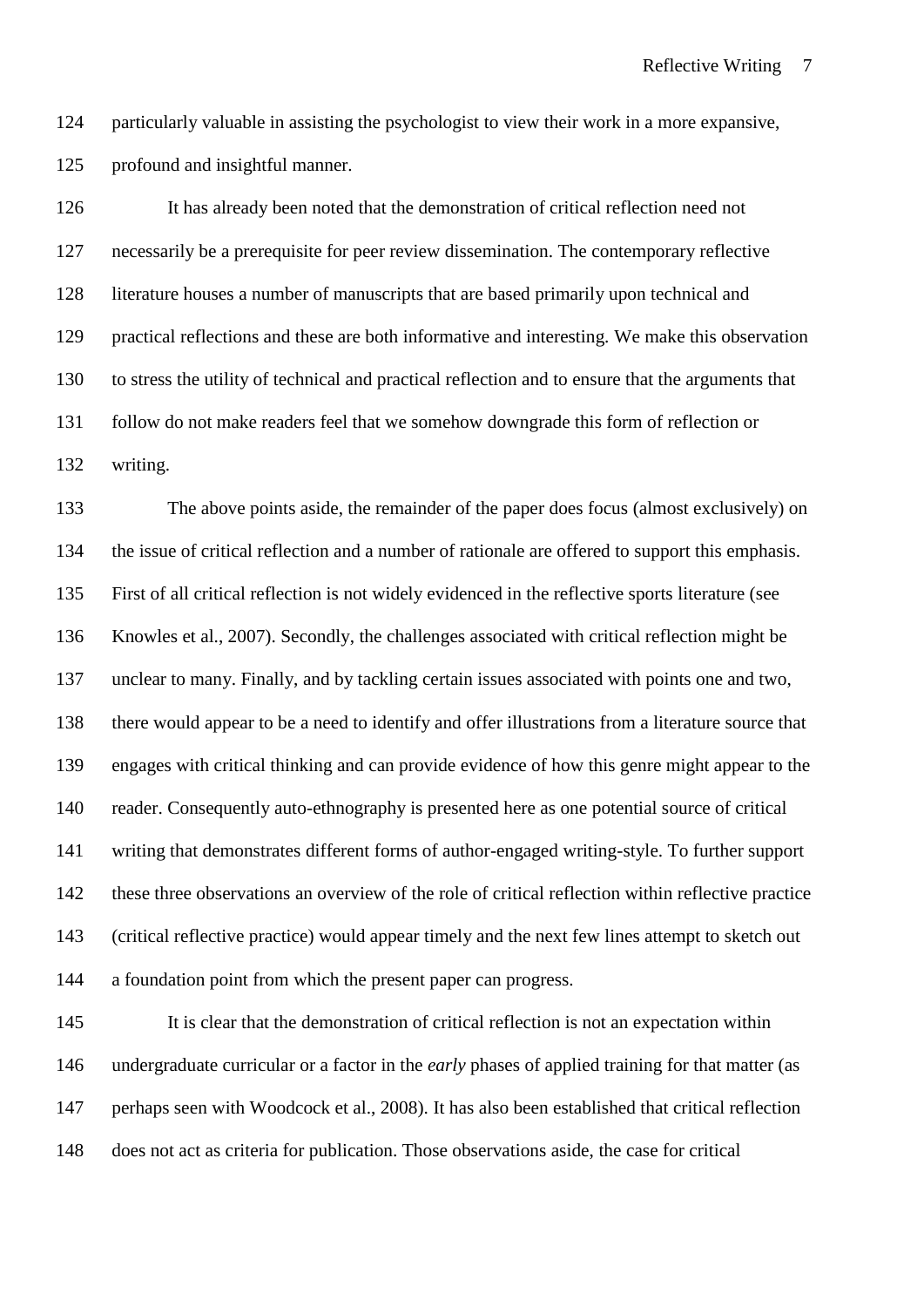particularly valuable in assisting the psychologist to view their work in a more expansive, 125 profound and insightful manner.

 It has already been noted that the demonstration of critical reflection need not necessarily be a prerequisite for peer review dissemination. The contemporary reflective literature houses a number of manuscripts that are based primarily upon technical and practical reflections and these are both informative and interesting. We make this observation to stress the utility of technical and practical reflection and to ensure that the arguments that follow do not make readers feel that we somehow downgrade this form of reflection or writing.

 The above points aside, the remainder of the paper does focus (almost exclusively) on the issue of critical reflection and a number of rationale are offered to support this emphasis. First of all critical reflection is not widely evidenced in the reflective sports literature (see Knowles et al., 2007). Secondly, the challenges associated with critical reflection might be unclear to many. Finally, and by tackling certain issues associated with points one and two, there would appear to be a need to identify and offer illustrations from a literature source that engages with critical thinking and can provide evidence of how this genre might appear to the reader. Consequently auto-ethnography is presented here as one potential source of critical writing that demonstrates different forms of author-engaged writing-style. To further support these three observations an overview of the role of critical reflection within reflective practice (critical reflective practice) would appear timely and the next few lines attempt to sketch out a foundation point from which the present paper can progress.

 It is clear that the demonstration of critical reflection is not an expectation within undergraduate curricular or a factor in the *early* phases of applied training for that matter (as perhaps seen with Woodcock et al., 2008). It has also been established that critical reflection does not act as criteria for publication. Those observations aside, the case for critical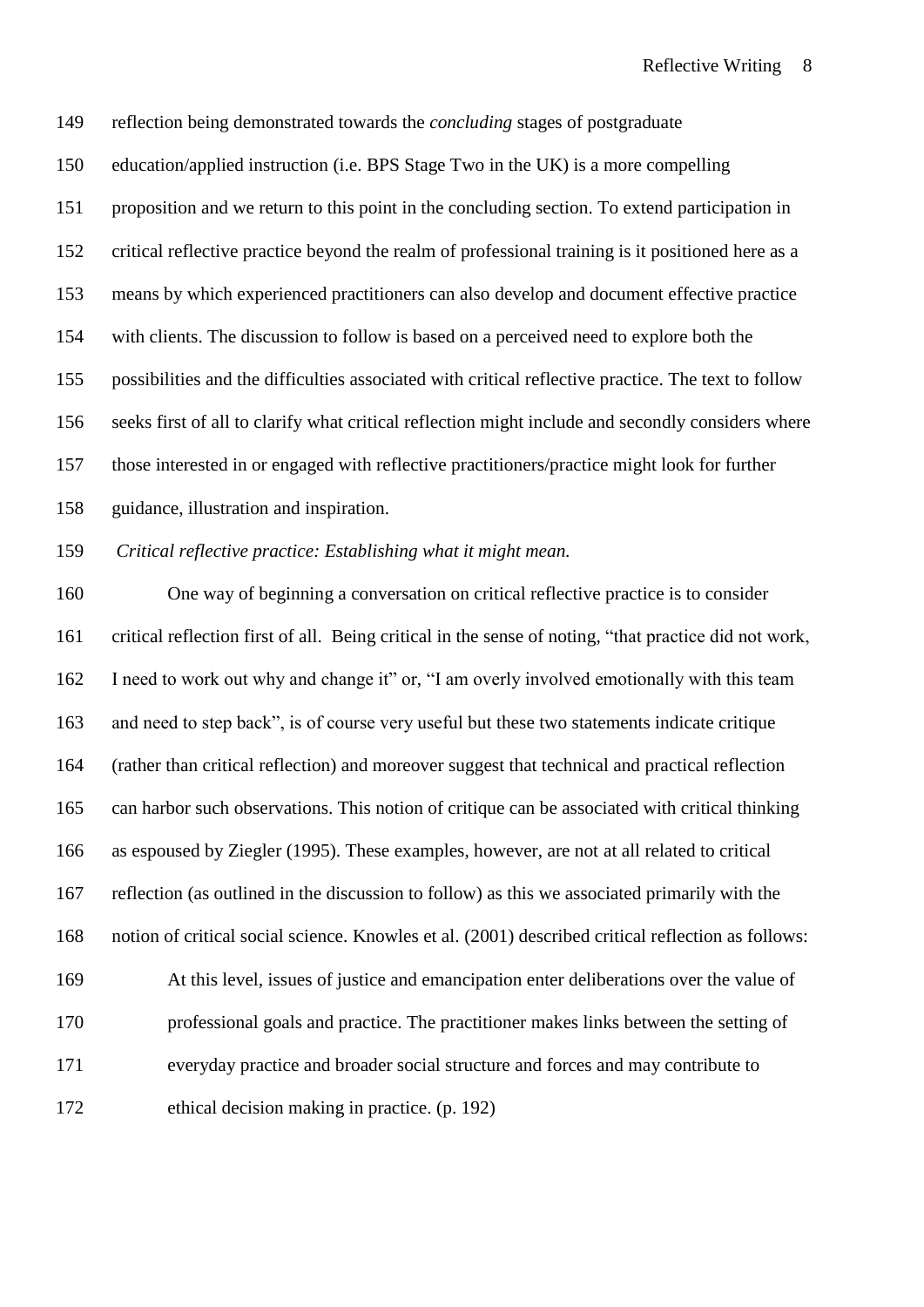reflection being demonstrated towards the *concluding* stages of postgraduate education/applied instruction (i.e. BPS Stage Two in the UK) is a more compelling proposition and we return to this point in the concluding section. To extend participation in critical reflective practice beyond the realm of professional training is it positioned here as a means by which experienced practitioners can also develop and document effective practice with clients. The discussion to follow is based on a perceived need to explore both the possibilities and the difficulties associated with critical reflective practice. The text to follow seeks first of all to clarify what critical reflection might include and secondly considers where those interested in or engaged with reflective practitioners/practice might look for further guidance, illustration and inspiration.

*Critical reflective practice: Establishing what it might mean.*

 One way of beginning a conversation on critical reflective practice is to consider critical reflection first of all. Being critical in the sense of noting, "that practice did not work, I need to work out why and change it" or, "I am overly involved emotionally with this team and need to step back", is of course very useful but these two statements indicate critique (rather than critical reflection) and moreover suggest that technical and practical reflection can harbor such observations. This notion of critique can be associated with critical thinking as espoused by Ziegler (1995). These examples, however, are not at all related to critical reflection (as outlined in the discussion to follow) as this we associated primarily with the notion of critical social science. Knowles et al. (2001) described critical reflection as follows: At this level, issues of justice and emancipation enter deliberations over the value of professional goals and practice. The practitioner makes links between the setting of everyday practice and broader social structure and forces and may contribute to ethical decision making in practice. (p. 192)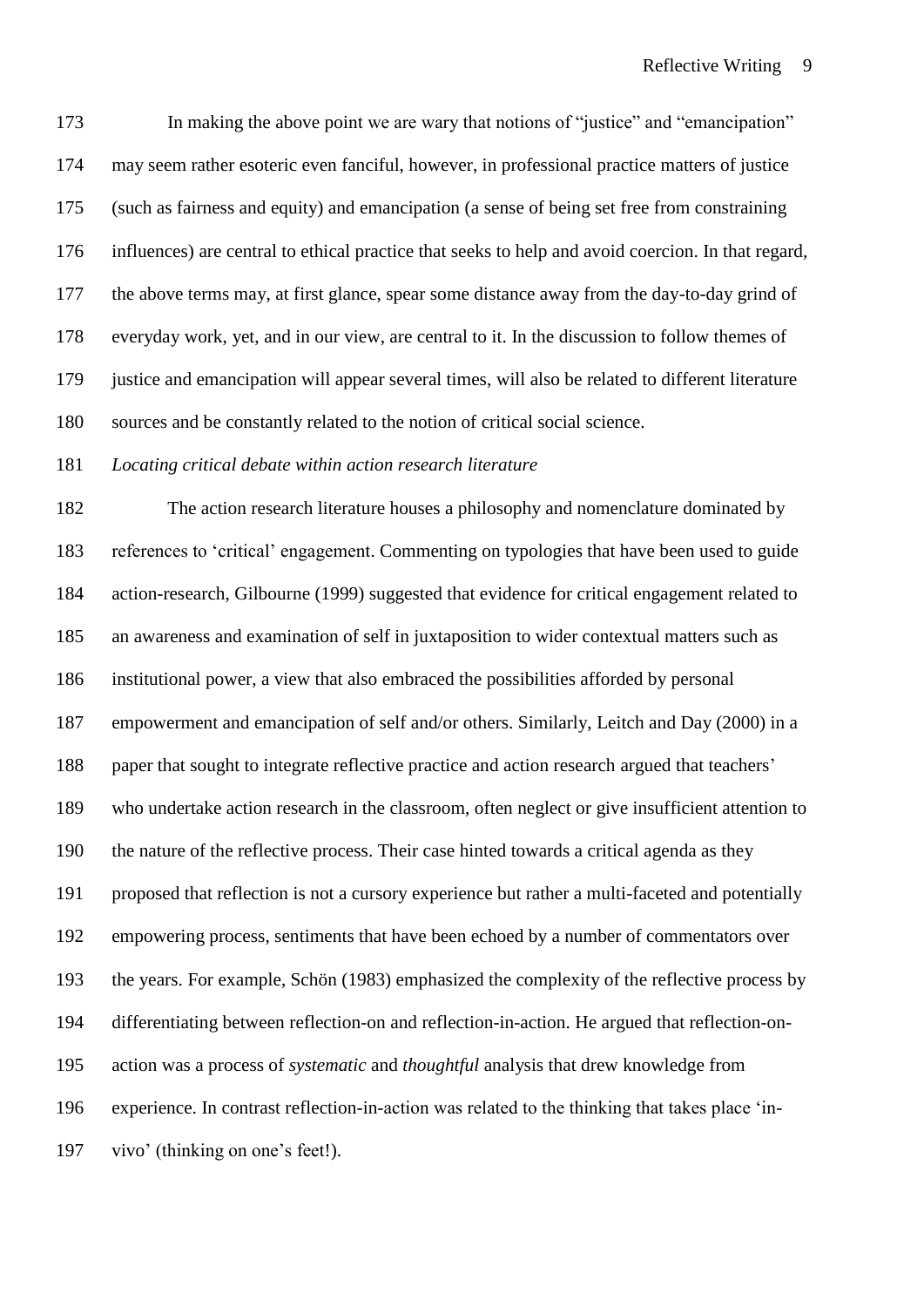In making the above point we are wary that notions of "justice" and "emancipation" may seem rather esoteric even fanciful, however, in professional practice matters of justice (such as fairness and equity) and emancipation (a sense of being set free from constraining influences) are central to ethical practice that seeks to help and avoid coercion. In that regard, the above terms may, at first glance, spear some distance away from the day-to-day grind of everyday work, yet, and in our view, are central to it. In the discussion to follow themes of justice and emancipation will appear several times, will also be related to different literature sources and be constantly related to the notion of critical social science.

*Locating critical debate within action research literature*

 The action research literature houses a philosophy and nomenclature dominated by references to 'critical' engagement. Commenting on typologies that have been used to guide action-research, Gilbourne (1999) suggested that evidence for critical engagement related to an awareness and examination of self in juxtaposition to wider contextual matters such as institutional power, a view that also embraced the possibilities afforded by personal empowerment and emancipation of self and/or others. Similarly, Leitch and Day (2000) in a paper that sought to integrate reflective practice and action research argued that teachers' who undertake action research in the classroom, often neglect or give insufficient attention to the nature of the reflective process. Their case hinted towards a critical agenda as they proposed that reflection is not a cursory experience but rather a multi-faceted and potentially empowering process, sentiments that have been echoed by a number of commentators over the years. For example, Schön (1983) emphasized the complexity of the reflective process by differentiating between reflection-on and reflection-in-action. He argued that reflection-on- action was a process of *systematic* and *thoughtful* analysis that drew knowledge from experience. In contrast reflection-in-action was related to the thinking that takes place 'in-vivo' (thinking on one's feet!).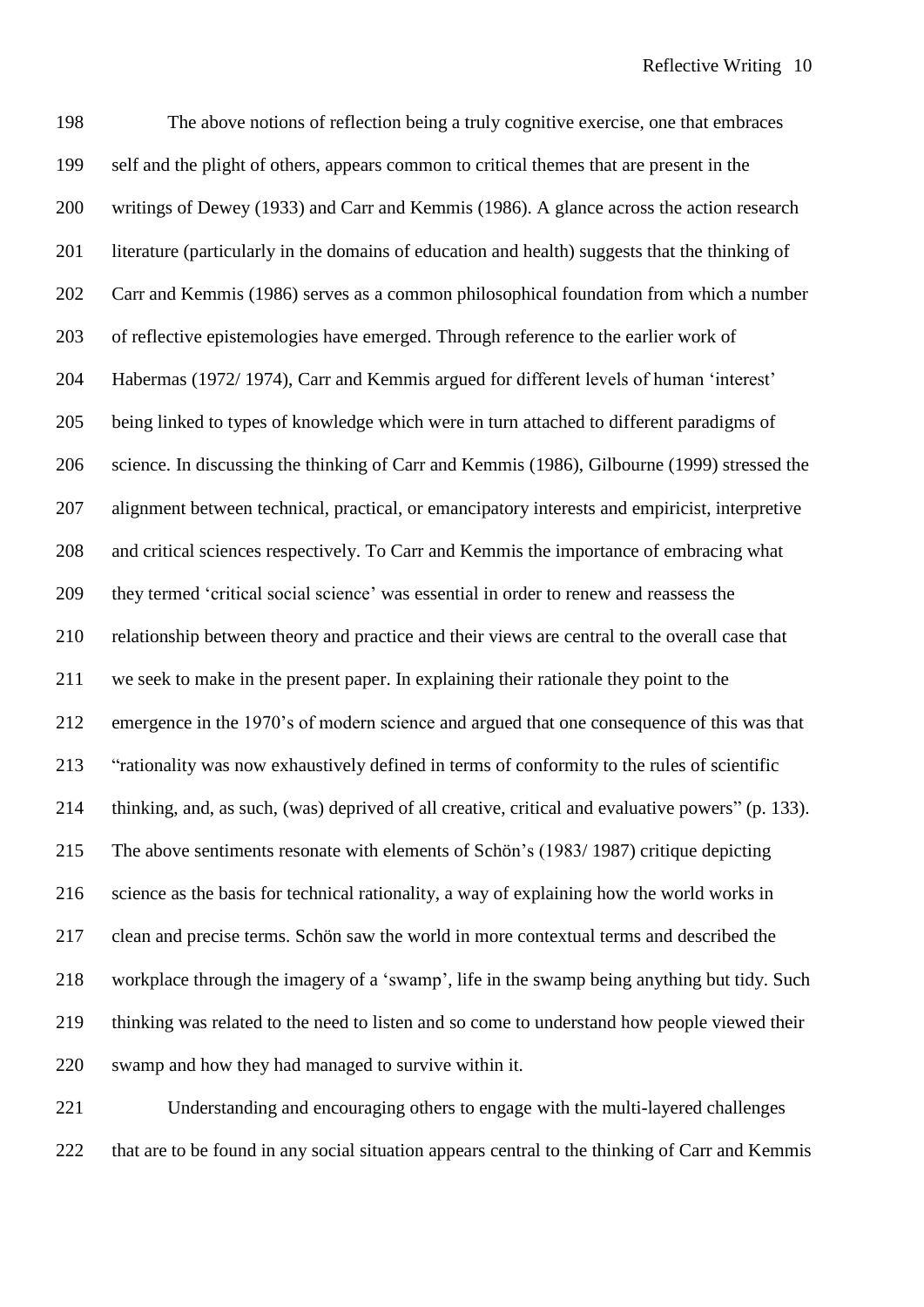The above notions of reflection being a truly cognitive exercise, one that embraces self and the plight of others, appears common to critical themes that are present in the writings of Dewey (1933) and Carr and Kemmis (1986). A glance across the action research literature (particularly in the domains of education and health) suggests that the thinking of Carr and Kemmis (1986) serves as a common philosophical foundation from which a number of reflective epistemologies have emerged. Through reference to the earlier work of Habermas (1972/ 1974), Carr and Kemmis argued for different levels of human 'interest' being linked to types of knowledge which were in turn attached to different paradigms of science. In discussing the thinking of Carr and Kemmis (1986), Gilbourne (1999) stressed the alignment between technical, practical, or emancipatory interests and empiricist, interpretive and critical sciences respectively. To Carr and Kemmis the importance of embracing what they termed 'critical social science' was essential in order to renew and reassess the relationship between theory and practice and their views are central to the overall case that we seek to make in the present paper. In explaining their rationale they point to the emergence in the 1970's of modern science and argued that one consequence of this was that "rationality was now exhaustively defined in terms of conformity to the rules of scientific thinking, and, as such, (was) deprived of all creative, critical and evaluative powers" (p. 133). The above sentiments resonate with elements of Schön's (1983/ 1987) critique depicting science as the basis for technical rationality, a way of explaining how the world works in clean and precise terms. Schön saw the world in more contextual terms and described the workplace through the imagery of a 'swamp', life in the swamp being anything but tidy. Such thinking was related to the need to listen and so come to understand how people viewed their swamp and how they had managed to survive within it.

 Understanding and encouraging others to engage with the multi-layered challenges 222 that are to be found in any social situation appears central to the thinking of Carr and Kemmis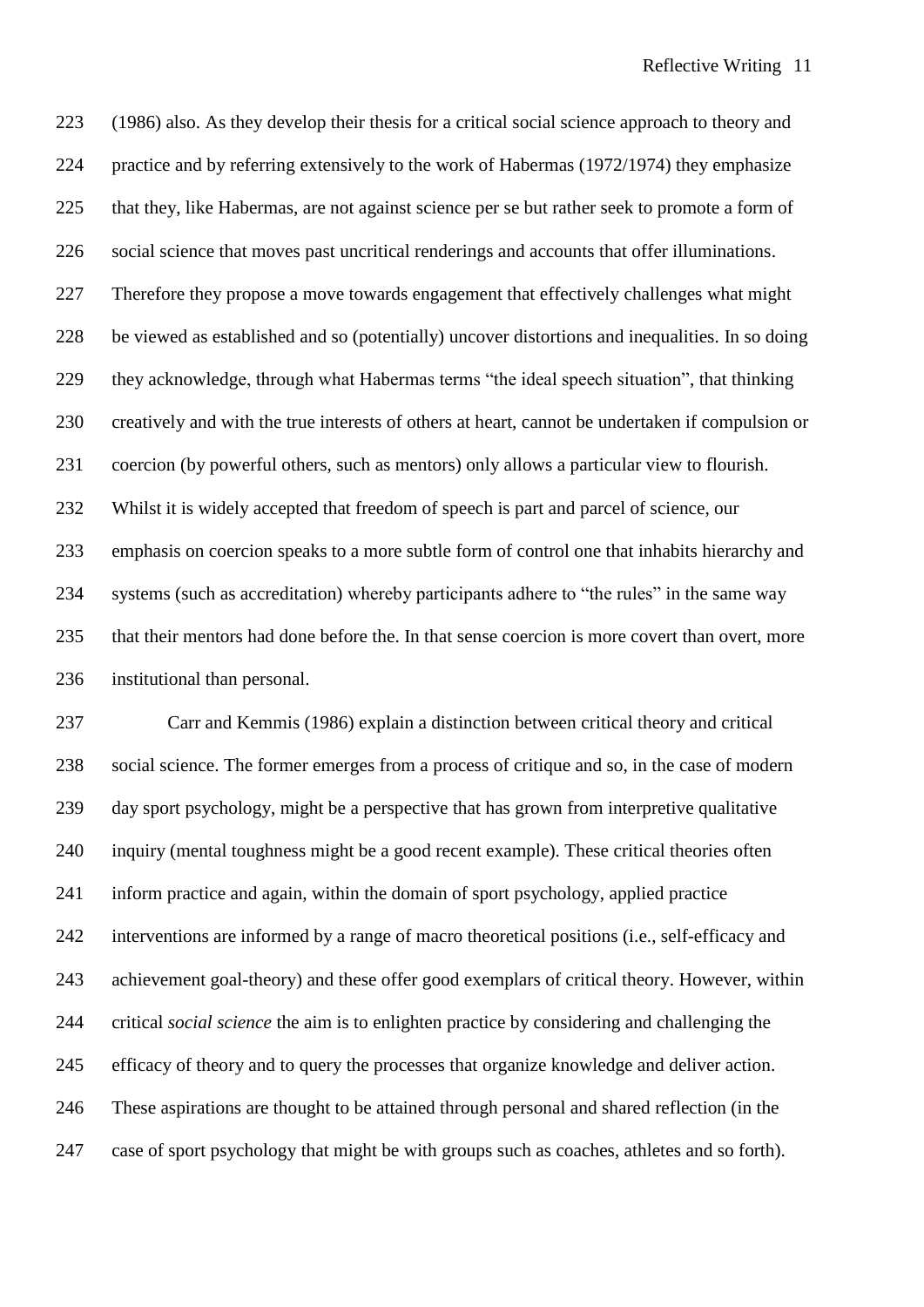(1986) also. As they develop their thesis for a critical social science approach to theory and practice and by referring extensively to the work of Habermas (1972/1974) they emphasize that they, like Habermas, are not against science per se but rather seek to promote a form of social science that moves past uncritical renderings and accounts that offer illuminations. Therefore they propose a move towards engagement that effectively challenges what might be viewed as established and so (potentially) uncover distortions and inequalities. In so doing they acknowledge, through what Habermas terms "the ideal speech situation", that thinking creatively and with the true interests of others at heart, cannot be undertaken if compulsion or coercion (by powerful others, such as mentors) only allows a particular view to flourish. Whilst it is widely accepted that freedom of speech is part and parcel of science, our emphasis on coercion speaks to a more subtle form of control one that inhabits hierarchy and systems (such as accreditation) whereby participants adhere to "the rules" in the same way that their mentors had done before the. In that sense coercion is more covert than overt, more institutional than personal.

 Carr and Kemmis (1986) explain a distinction between critical theory and critical social science. The former emerges from a process of critique and so, in the case of modern day sport psychology, might be a perspective that has grown from interpretive qualitative inquiry (mental toughness might be a good recent example). These critical theories often inform practice and again, within the domain of sport psychology, applied practice interventions are informed by a range of macro theoretical positions (i.e., self-efficacy and achievement goal-theory) and these offer good exemplars of critical theory. However, within critical *social science* the aim is to enlighten practice by considering and challenging the efficacy of theory and to query the processes that organize knowledge and deliver action. These aspirations are thought to be attained through personal and shared reflection (in the case of sport psychology that might be with groups such as coaches, athletes and so forth).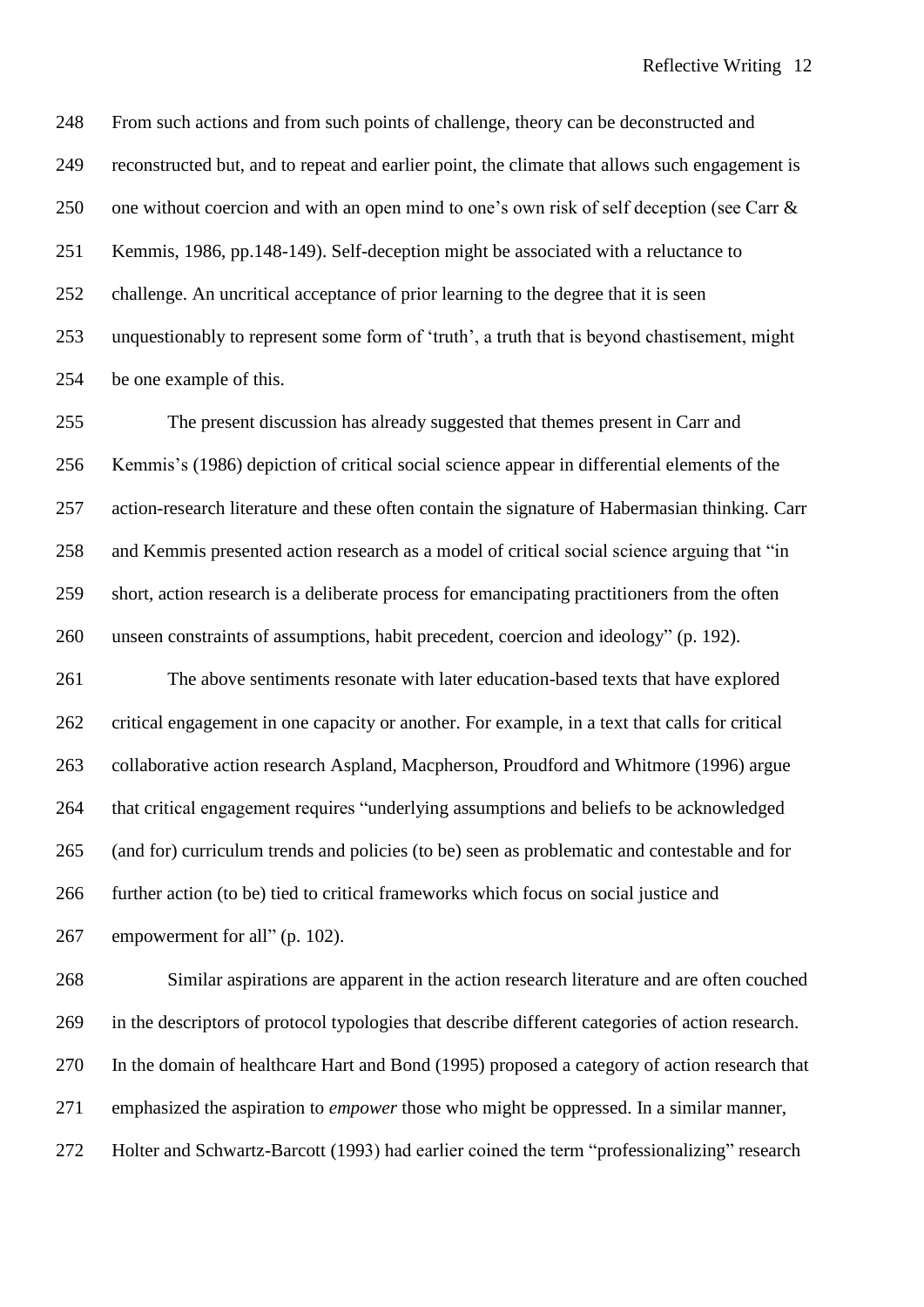From such actions and from such points of challenge, theory can be deconstructed and reconstructed but, and to repeat and earlier point, the climate that allows such engagement is one without coercion and with an open mind to one's own risk of self deception (see Carr & Kemmis, 1986, pp.148-149). Self-deception might be associated with a reluctance to challenge. An uncritical acceptance of prior learning to the degree that it is seen unquestionably to represent some form of 'truth', a truth that is beyond chastisement, might be one example of this.

 The present discussion has already suggested that themes present in Carr and Kemmis's (1986) depiction of critical social science appear in differential elements of the action-research literature and these often contain the signature of Habermasian thinking. Carr and Kemmis presented action research as a model of critical social science arguing that "in short, action research is a deliberate process for emancipating practitioners from the often unseen constraints of assumptions, habit precedent, coercion and ideology" (p. 192).

 The above sentiments resonate with later education-based texts that have explored critical engagement in one capacity or another. For example, in a text that calls for critical collaborative action research Aspland, Macpherson, Proudford and Whitmore (1996) argue that critical engagement requires "underlying assumptions and beliefs to be acknowledged (and for) curriculum trends and policies (to be) seen as problematic and contestable and for further action (to be) tied to critical frameworks which focus on social justice and empowerment for all" (p. 102).

 Similar aspirations are apparent in the action research literature and are often couched in the descriptors of protocol typologies that describe different categories of action research. In the domain of healthcare Hart and Bond (1995) proposed a category of action research that emphasized the aspiration to *empower* those who might be oppressed. In a similar manner, Holter and Schwartz-Barcott (1993) had earlier coined the term "professionalizing" research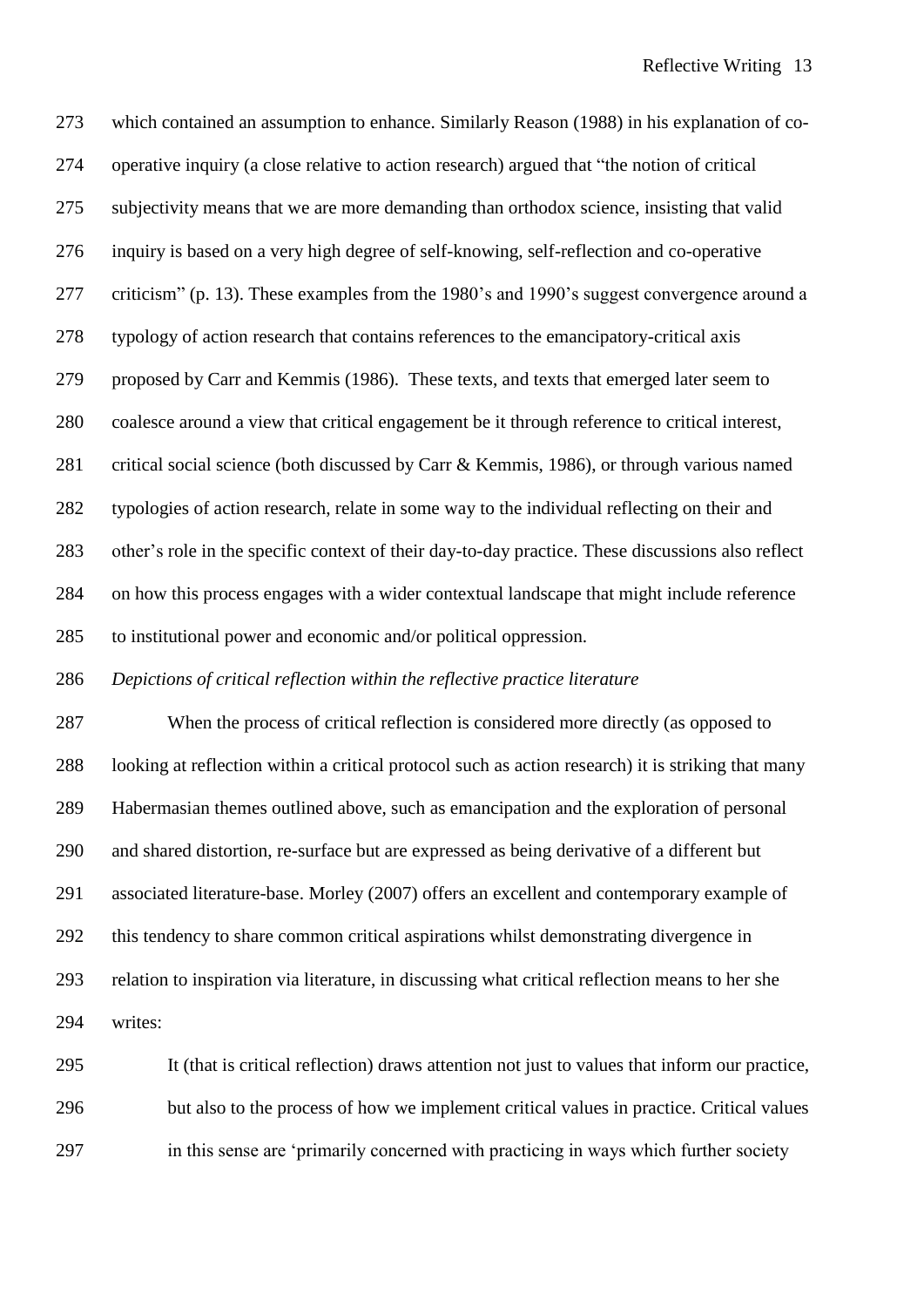which contained an assumption to enhance. Similarly Reason (1988) in his explanation of co- operative inquiry (a close relative to action research) argued that "the notion of critical subjectivity means that we are more demanding than orthodox science, insisting that valid inquiry is based on a very high degree of self-knowing, self-reflection and co-operative criticism" (p. 13). These examples from the 1980's and 1990's suggest convergence around a typology of action research that contains references to the emancipatory-critical axis proposed by Carr and Kemmis (1986). These texts, and texts that emerged later seem to coalesce around a view that critical engagement be it through reference to critical interest, critical social science (both discussed by Carr & Kemmis, 1986), or through various named typologies of action research, relate in some way to the individual reflecting on their and other's role in the specific context of their day-to-day practice. These discussions also reflect on how this process engages with a wider contextual landscape that might include reference to institutional power and economic and/or political oppression.

*Depictions of critical reflection within the reflective practice literature*

 When the process of critical reflection is considered more directly (as opposed to looking at reflection within a critical protocol such as action research) it is striking that many Habermasian themes outlined above, such as emancipation and the exploration of personal and shared distortion, re-surface but are expressed as being derivative of a different but associated literature-base. Morley (2007) offers an excellent and contemporary example of this tendency to share common critical aspirations whilst demonstrating divergence in relation to inspiration via literature, in discussing what critical reflection means to her she writes:

 It (that is critical reflection) draws attention not just to values that inform our practice, but also to the process of how we implement critical values in practice. Critical values in this sense are 'primarily concerned with practicing in ways which further society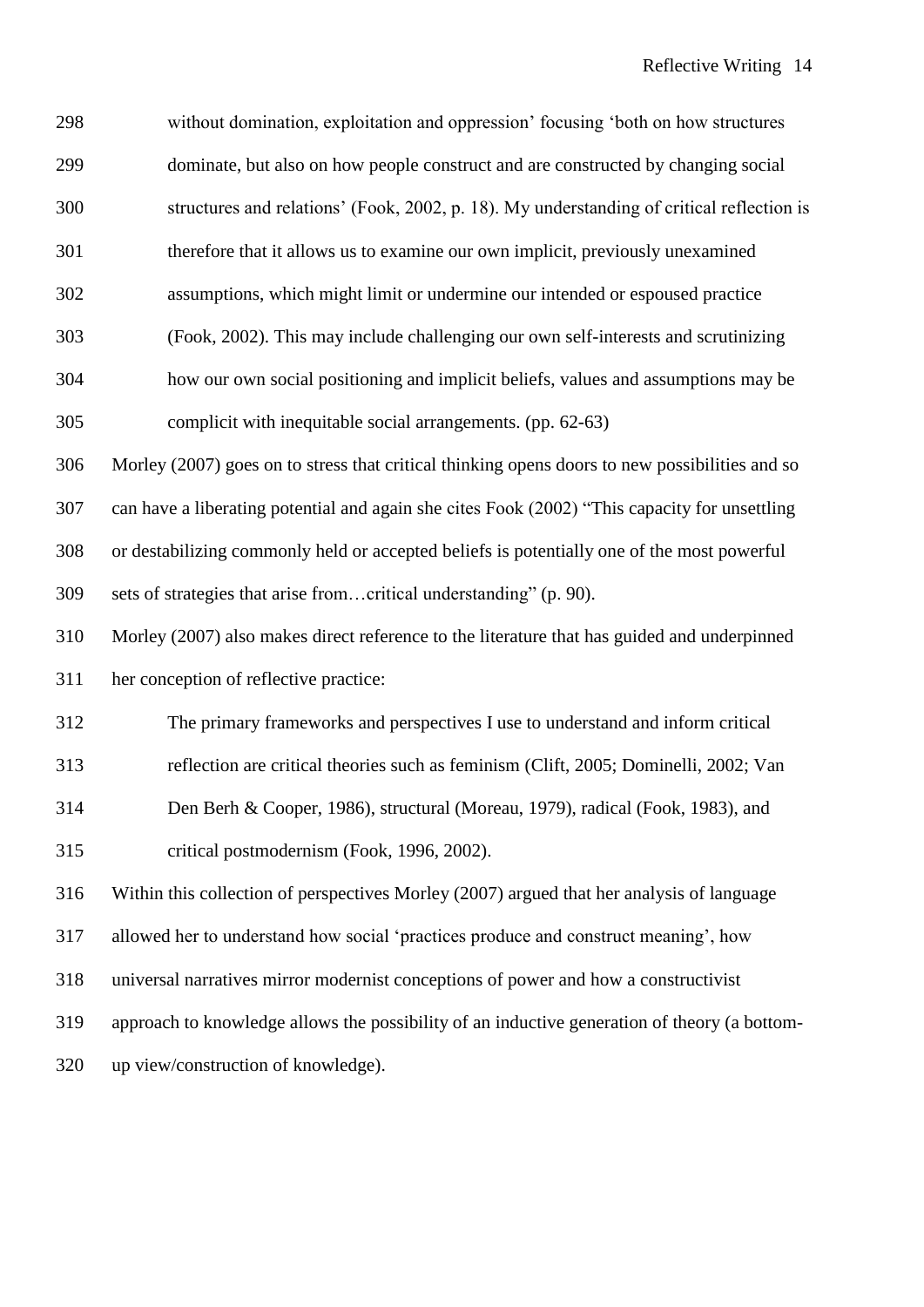without domination, exploitation and oppression' focusing 'both on how structures dominate, but also on how people construct and are constructed by changing social structures and relations' (Fook, 2002, p. 18). My understanding of critical reflection is therefore that it allows us to examine our own implicit, previously unexamined assumptions, which might limit or undermine our intended or espoused practice (Fook, 2002). This may include challenging our own self-interests and scrutinizing how our own social positioning and implicit beliefs, values and assumptions may be complicit with inequitable social arrangements. (pp. 62-63) Morley (2007) goes on to stress that critical thinking opens doors to new possibilities and so can have a liberating potential and again she cites Fook (2002) "This capacity for unsettling or destabilizing commonly held or accepted beliefs is potentially one of the most powerful sets of strategies that arise from…critical understanding" (p. 90). Morley (2007) also makes direct reference to the literature that has guided and underpinned her conception of reflective practice: The primary frameworks and perspectives I use to understand and inform critical reflection are critical theories such as feminism (Clift, 2005; Dominelli, 2002; Van Den Berh & Cooper, 1986), structural (Moreau, 1979), radical (Fook, 1983), and critical postmodernism (Fook, 1996, 2002). Within this collection of perspectives Morley (2007) argued that her analysis of language allowed her to understand how social 'practices produce and construct meaning', how universal narratives mirror modernist conceptions of power and how a constructivist approach to knowledge allows the possibility of an inductive generation of theory (a bottom-up view/construction of knowledge).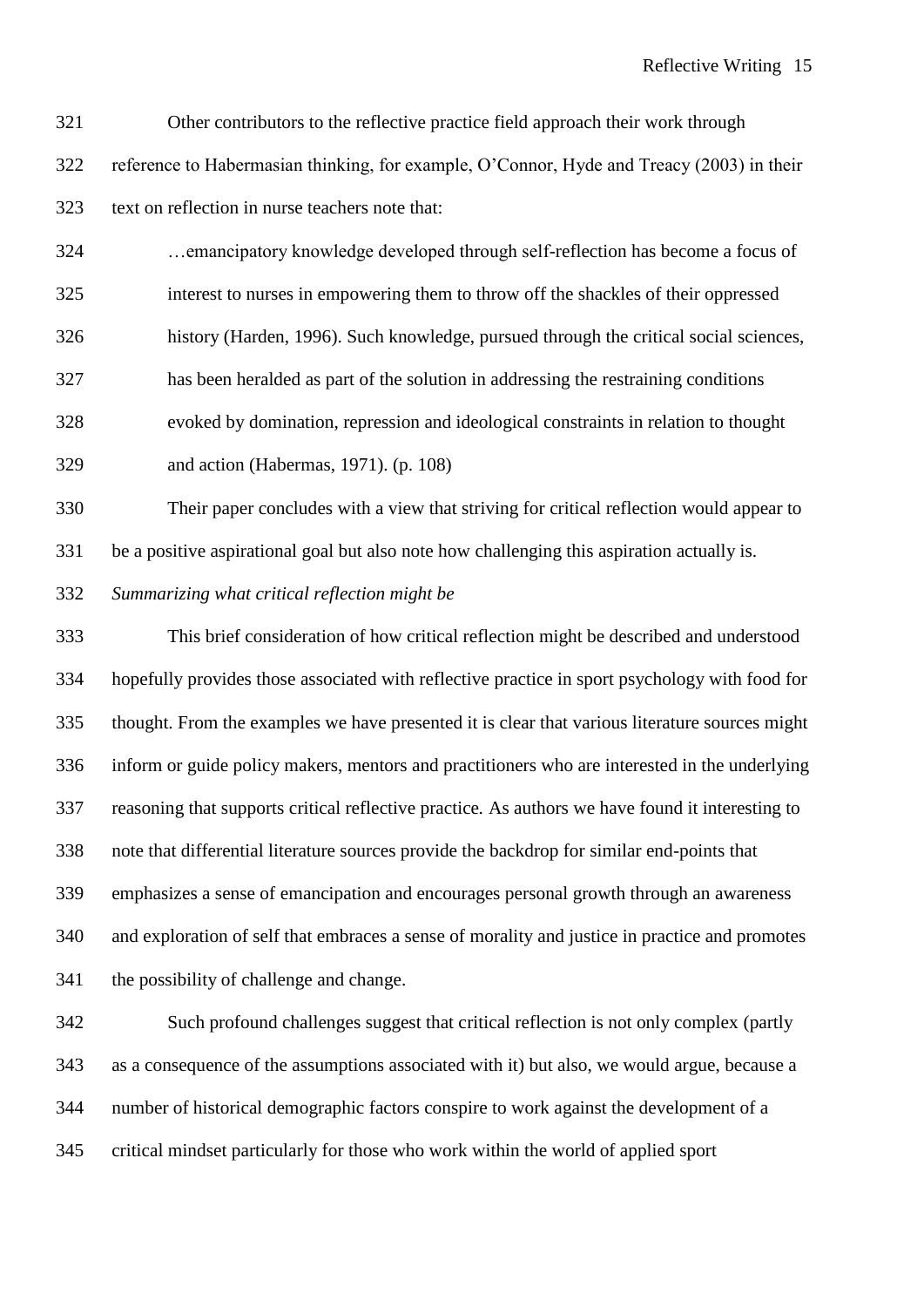- Other contributors to the reflective practice field approach their work through reference to Habermasian thinking, for example, O'Connor, Hyde and Treacy (2003) in their text on reflection in nurse teachers note that:
- …emancipatory knowledge developed through self-reflection has become a focus of
- interest to nurses in empowering them to throw off the shackles of their oppressed
- history (Harden, 1996). Such knowledge, pursued through the critical social sciences,
- has been heralded as part of the solution in addressing the restraining conditions
- evoked by domination, repression and ideological constraints in relation to thought
- and action (Habermas, 1971). (p. 108)

Their paper concludes with a view that striving for critical reflection would appear to

- be a positive aspirational goal but also note how challenging this aspiration actually is.
- *Summarizing what critical reflection might be*

 This brief consideration of how critical reflection might be described and understood hopefully provides those associated with reflective practice in sport psychology with food for thought. From the examples we have presented it is clear that various literature sources might inform or guide policy makers, mentors and practitioners who are interested in the underlying reasoning that supports critical reflective practice*.* As authors we have found it interesting to note that differential literature sources provide the backdrop for similar end-points that emphasizes a sense of emancipation and encourages personal growth through an awareness and exploration of self that embraces a sense of morality and justice in practice and promotes the possibility of challenge and change.

 Such profound challenges suggest that critical reflection is not only complex (partly as a consequence of the assumptions associated with it) but also, we would argue, because a number of historical demographic factors conspire to work against the development of a critical mindset particularly for those who work within the world of applied sport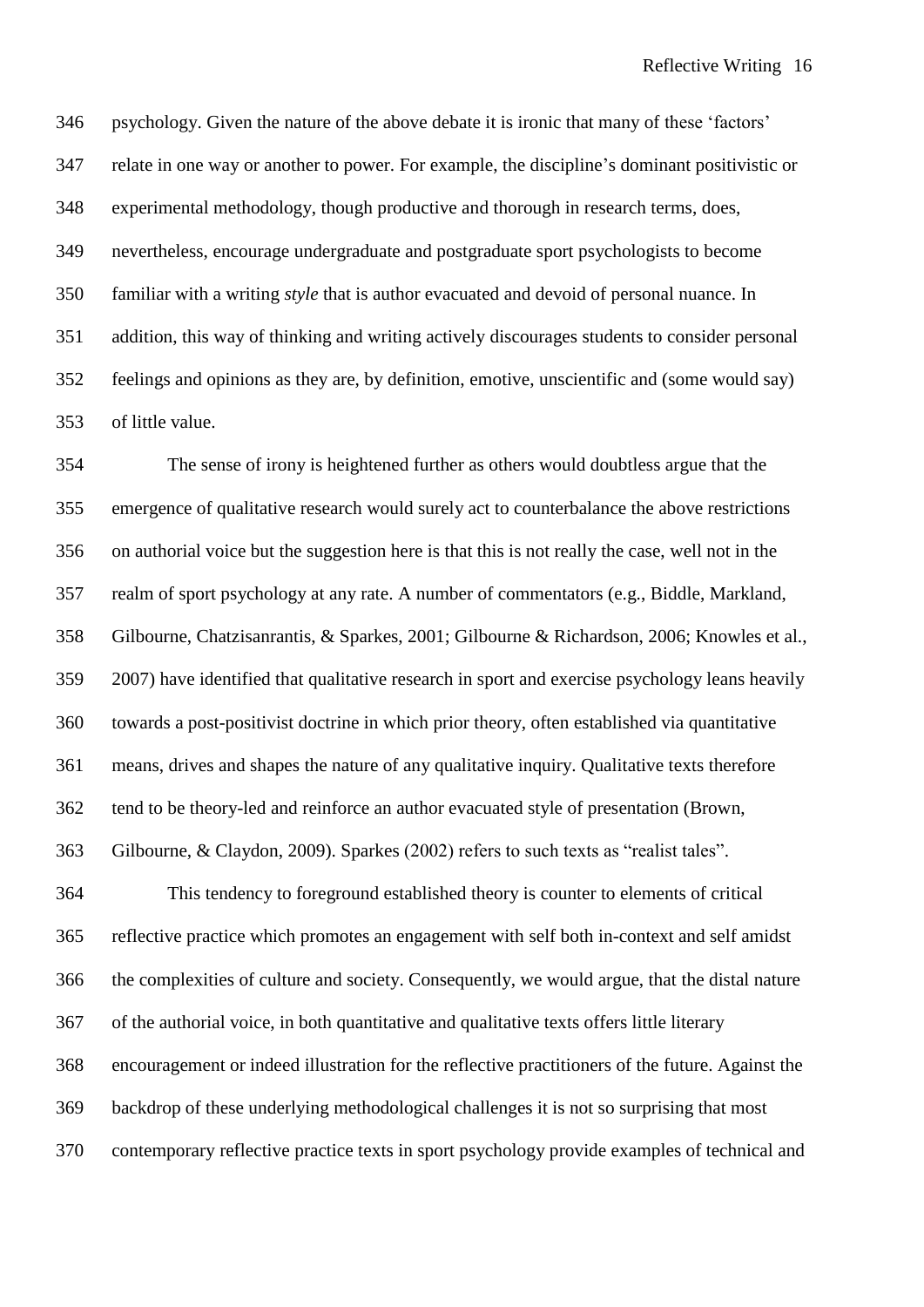psychology. Given the nature of the above debate it is ironic that many of these 'factors' relate in one way or another to power. For example, the discipline's dominant positivistic or experimental methodology, though productive and thorough in research terms, does, nevertheless, encourage undergraduate and postgraduate sport psychologists to become familiar with a writing *style* that is author evacuated and devoid of personal nuance. In addition, this way of thinking and writing actively discourages students to consider personal feelings and opinions as they are, by definition, emotive, unscientific and (some would say) of little value.

 The sense of irony is heightened further as others would doubtless argue that the emergence of qualitative research would surely act to counterbalance the above restrictions on authorial voice but the suggestion here is that this is not really the case, well not in the realm of sport psychology at any rate. A number of commentators (e.g., Biddle, Markland, Gilbourne, Chatzisanrantis, & Sparkes, 2001; Gilbourne & Richardson, 2006; Knowles et al., 2007) have identified that qualitative research in sport and exercise psychology leans heavily towards a post-positivist doctrine in which prior theory, often established via quantitative means, drives and shapes the nature of any qualitative inquiry. Qualitative texts therefore tend to be theory-led and reinforce an author evacuated style of presentation (Brown, Gilbourne, & Claydon, 2009). Sparkes (2002) refers to such texts as "realist tales". This tendency to foreground established theory is counter to elements of critical

 reflective practice which promotes an engagement with self both in-context and self amidst the complexities of culture and society. Consequently, we would argue, that the distal nature of the authorial voice, in both quantitative and qualitative texts offers little literary encouragement or indeed illustration for the reflective practitioners of the future. Against the backdrop of these underlying methodological challenges it is not so surprising that most contemporary reflective practice texts in sport psychology provide examples of technical and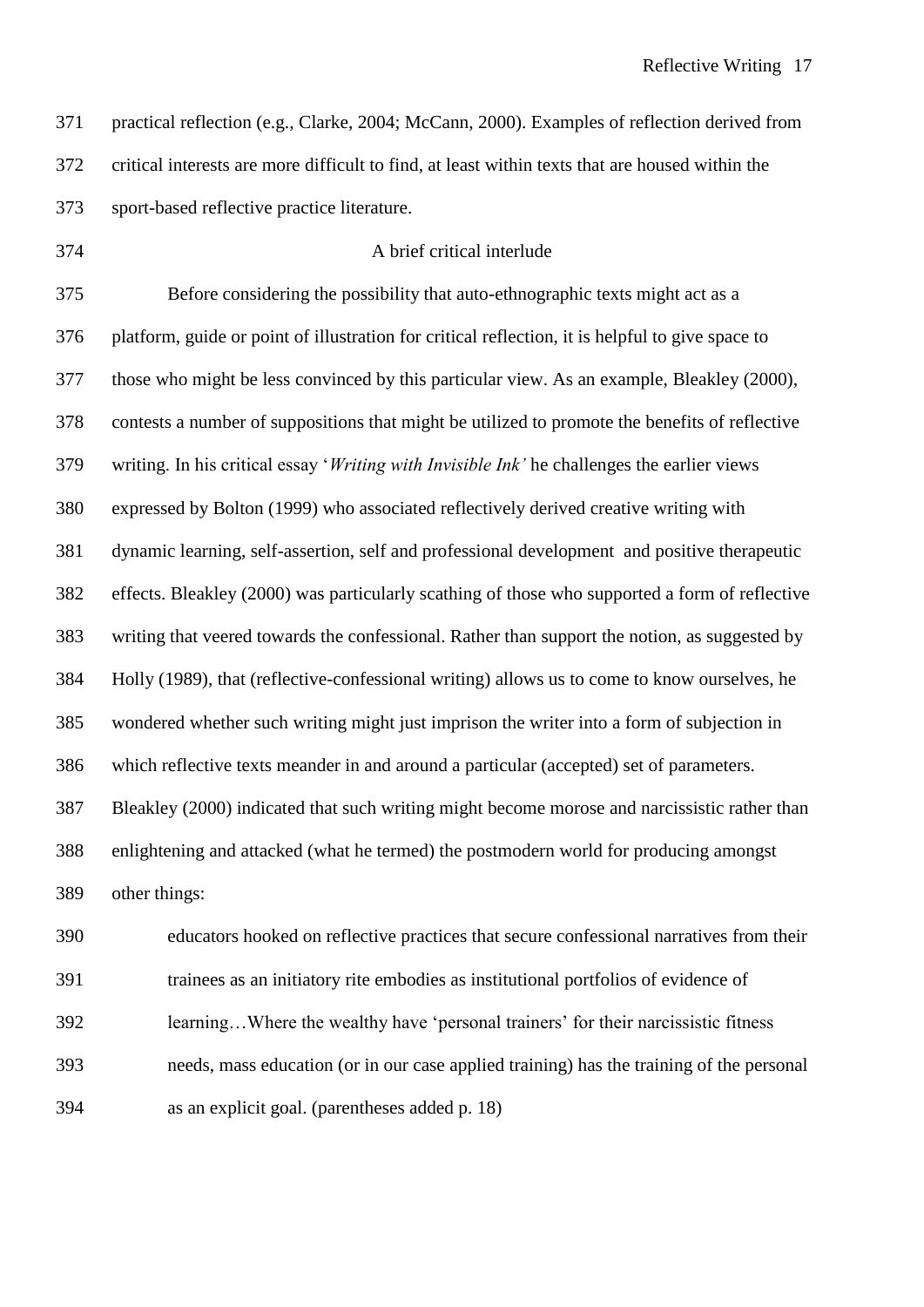practical reflection (e.g., Clarke, 2004; McCann, 2000). Examples of reflection derived from critical interests are more difficult to find, at least within texts that are housed within the sport-based reflective practice literature.

#### A brief critical interlude

 Before considering the possibility that auto-ethnographic texts might act as a platform, guide or point of illustration for critical reflection, it is helpful to give space to those who might be less convinced by this particular view. As an example, Bleakley (2000), contests a number of suppositions that might be utilized to promote the benefits of reflective writing. In his critical essay '*Writing with Invisible Ink'* he challenges the earlier views expressed by Bolton (1999) who associated reflectively derived creative writing with dynamic learning, self-assertion, self and professional development and positive therapeutic effects. Bleakley (2000) was particularly scathing of those who supported a form of reflective writing that veered towards the confessional. Rather than support the notion, as suggested by Holly (1989), that (reflective-confessional writing) allows us to come to know ourselves, he wondered whether such writing might just imprison the writer into a form of subjection in which reflective texts meander in and around a particular (accepted) set of parameters. Bleakley (2000) indicated that such writing might become morose and narcissistic rather than enlightening and attacked (what he termed) the postmodern world for producing amongst other things:

 educators hooked on reflective practices that secure confessional narratives from their trainees as an initiatory rite embodies as institutional portfolios of evidence of learning…Where the wealthy have 'personal trainers' for their narcissistic fitness needs, mass education (or in our case applied training) has the training of the personal as an explicit goal. (parentheses added p. 18)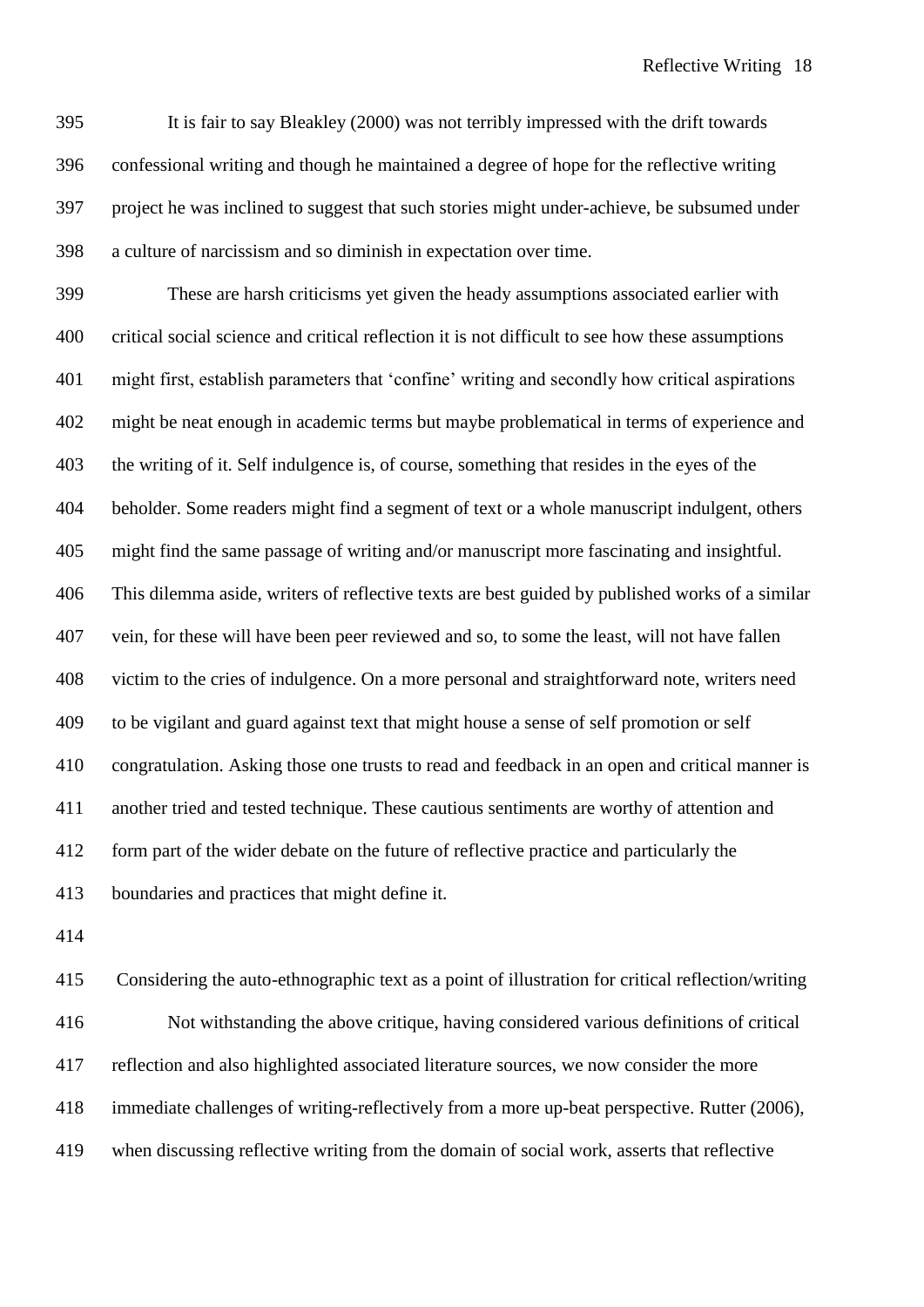It is fair to say Bleakley (2000) was not terribly impressed with the drift towards confessional writing and though he maintained a degree of hope for the reflective writing project he was inclined to suggest that such stories might under-achieve, be subsumed under a culture of narcissism and so diminish in expectation over time.

 These are harsh criticisms yet given the heady assumptions associated earlier with critical social science and critical reflection it is not difficult to see how these assumptions might first, establish parameters that 'confine' writing and secondly how critical aspirations might be neat enough in academic terms but maybe problematical in terms of experience and the writing of it. Self indulgence is, of course, something that resides in the eyes of the beholder. Some readers might find a segment of text or a whole manuscript indulgent, others might find the same passage of writing and/or manuscript more fascinating and insightful. This dilemma aside, writers of reflective texts are best guided by published works of a similar vein, for these will have been peer reviewed and so, to some the least, will not have fallen victim to the cries of indulgence. On a more personal and straightforward note, writers need to be vigilant and guard against text that might house a sense of self promotion or self congratulation. Asking those one trusts to read and feedback in an open and critical manner is another tried and tested technique. These cautious sentiments are worthy of attention and form part of the wider debate on the future of reflective practice and particularly the boundaries and practices that might define it.

 Considering the auto-ethnographic text as a point of illustration for critical reflection/writing Not withstanding the above critique, having considered various definitions of critical reflection and also highlighted associated literature sources, we now consider the more immediate challenges of writing-reflectively from a more up-beat perspective. Rutter (2006), when discussing reflective writing from the domain of social work, asserts that reflective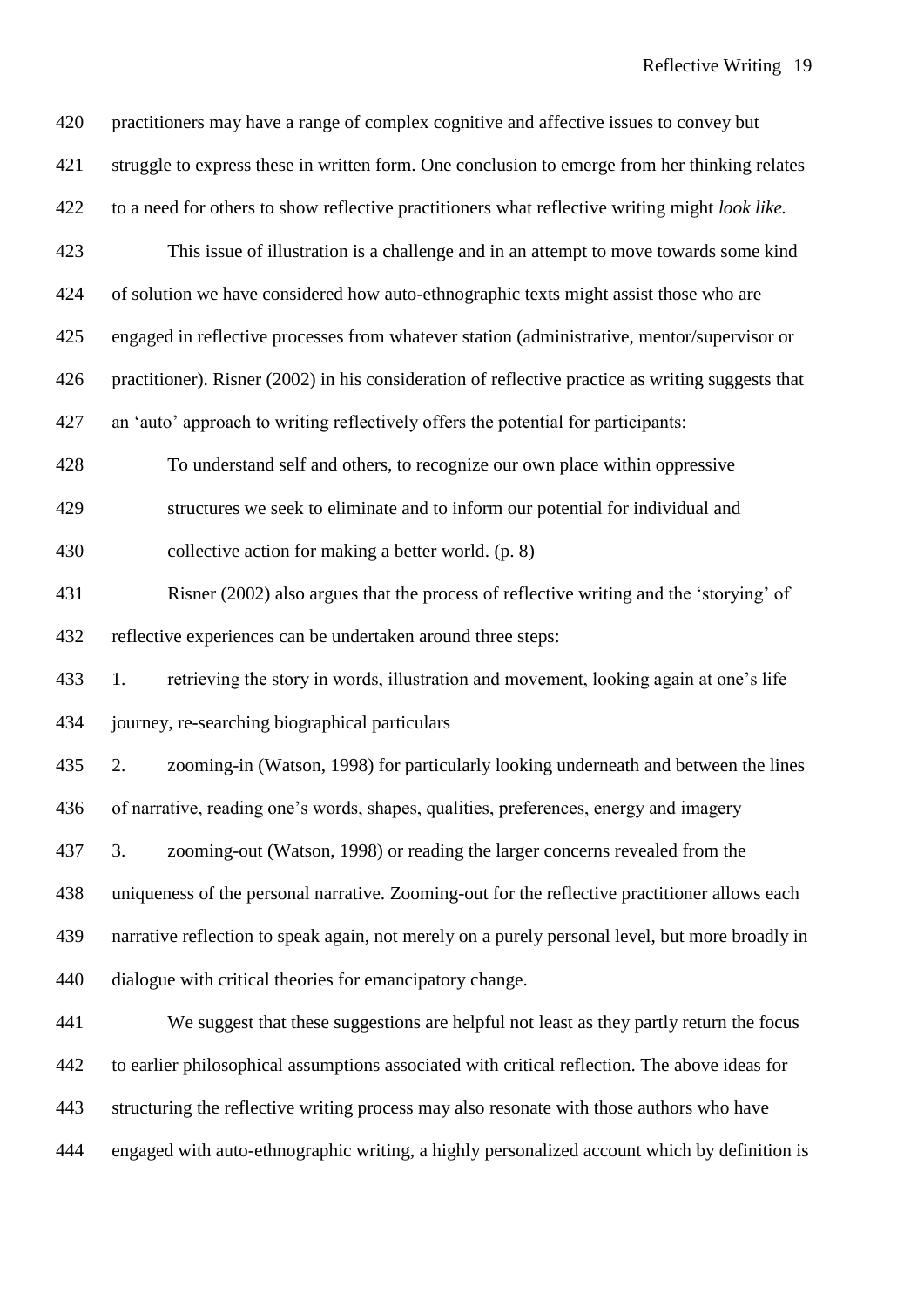practitioners may have a range of complex cognitive and affective issues to convey but struggle to express these in written form. One conclusion to emerge from her thinking relates to a need for others to show reflective practitioners what reflective writing might *look like.* This issue of illustration is a challenge and in an attempt to move towards some kind of solution we have considered how auto-ethnographic texts might assist those who are engaged in reflective processes from whatever station (administrative, mentor/supervisor or practitioner). Risner (2002) in his consideration of reflective practice as writing suggests that an 'auto' approach to writing reflectively offers the potential for participants: To understand self and others, to recognize our own place within oppressive structures we seek to eliminate and to inform our potential for individual and collective action for making a better world. (p. 8) Risner (2002) also argues that the process of reflective writing and the 'storying' of reflective experiences can be undertaken around three steps: 1. retrieving the story in words, illustration and movement, looking again at one's life journey, re-searching biographical particulars 2. zooming-in (Watson, 1998) for particularly looking underneath and between the lines of narrative, reading one's words, shapes, qualities, preferences, energy and imagery 3. zooming-out (Watson, 1998) or reading the larger concerns revealed from the uniqueness of the personal narrative. Zooming-out for the reflective practitioner allows each narrative reflection to speak again, not merely on a purely personal level, but more broadly in dialogue with critical theories for emancipatory change. We suggest that these suggestions are helpful not least as they partly return the focus to earlier philosophical assumptions associated with critical reflection. The above ideas for structuring the reflective writing process may also resonate with those authors who have engaged with auto-ethnographic writing, a highly personalized account which by definition is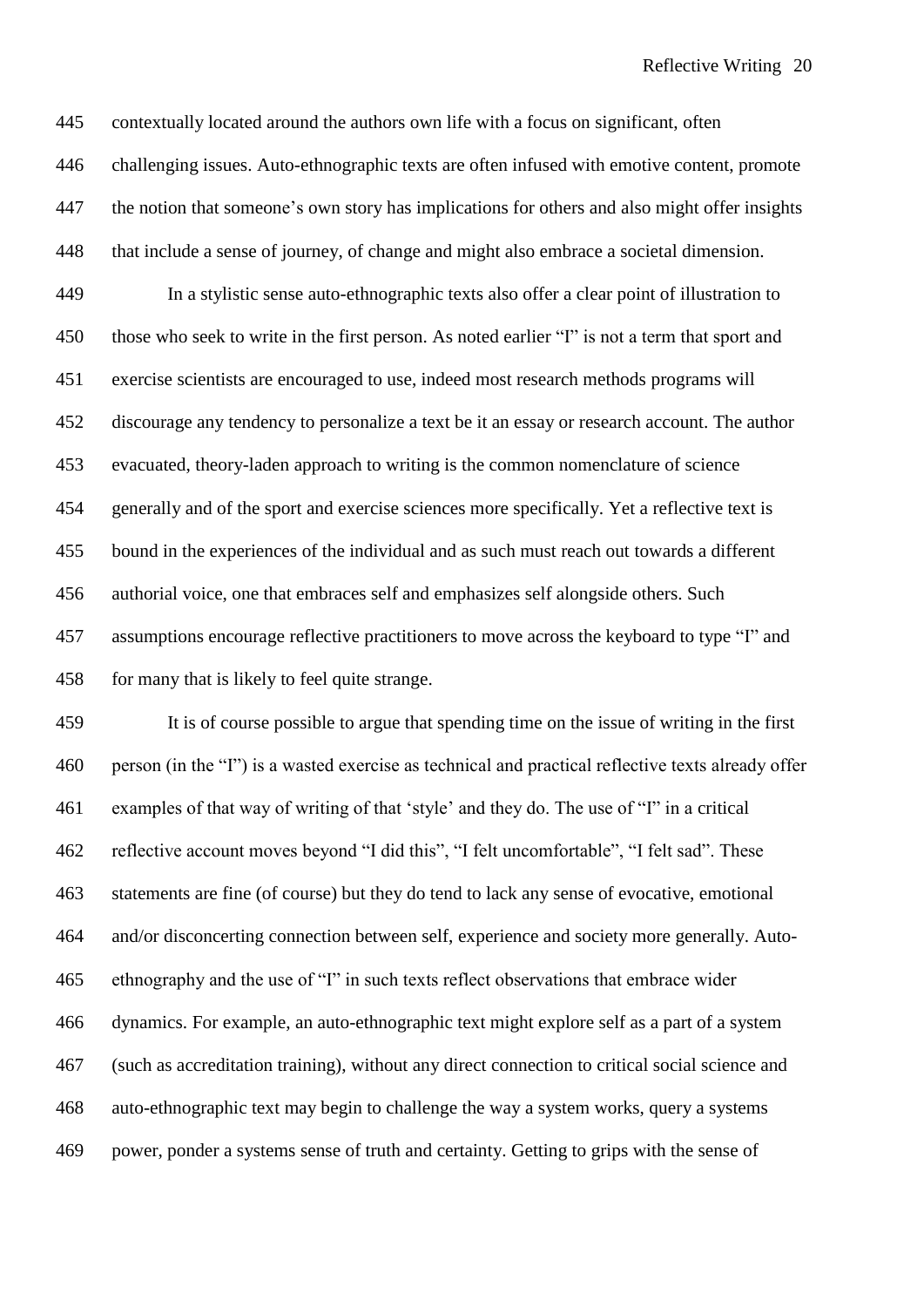contextually located around the authors own life with a focus on significant, often challenging issues. Auto-ethnographic texts are often infused with emotive content, promote the notion that someone's own story has implications for others and also might offer insights that include a sense of journey, of change and might also embrace a societal dimension. In a stylistic sense auto-ethnographic texts also offer a clear point of illustration to those who seek to write in the first person. As noted earlier "I" is not a term that sport and exercise scientists are encouraged to use, indeed most research methods programs will discourage any tendency to personalize a text be it an essay or research account. The author evacuated, theory-laden approach to writing is the common nomenclature of science generally and of the sport and exercise sciences more specifically. Yet a reflective text is bound in the experiences of the individual and as such must reach out towards a different authorial voice, one that embraces self and emphasizes self alongside others. Such assumptions encourage reflective practitioners to move across the keyboard to type "I" and for many that is likely to feel quite strange.

 It is of course possible to argue that spending time on the issue of writing in the first person (in the "I") is a wasted exercise as technical and practical reflective texts already offer examples of that way of writing of that 'style' and they do. The use of "I" in a critical reflective account moves beyond "I did this", "I felt uncomfortable", "I felt sad". These statements are fine (of course) but they do tend to lack any sense of evocative, emotional and/or disconcerting connection between self, experience and society more generally. Auto- ethnography and the use of "I" in such texts reflect observations that embrace wider dynamics. For example, an auto-ethnographic text might explore self as a part of a system (such as accreditation training), without any direct connection to critical social science and auto-ethnographic text may begin to challenge the way a system works, query a systems power, ponder a systems sense of truth and certainty. Getting to grips with the sense of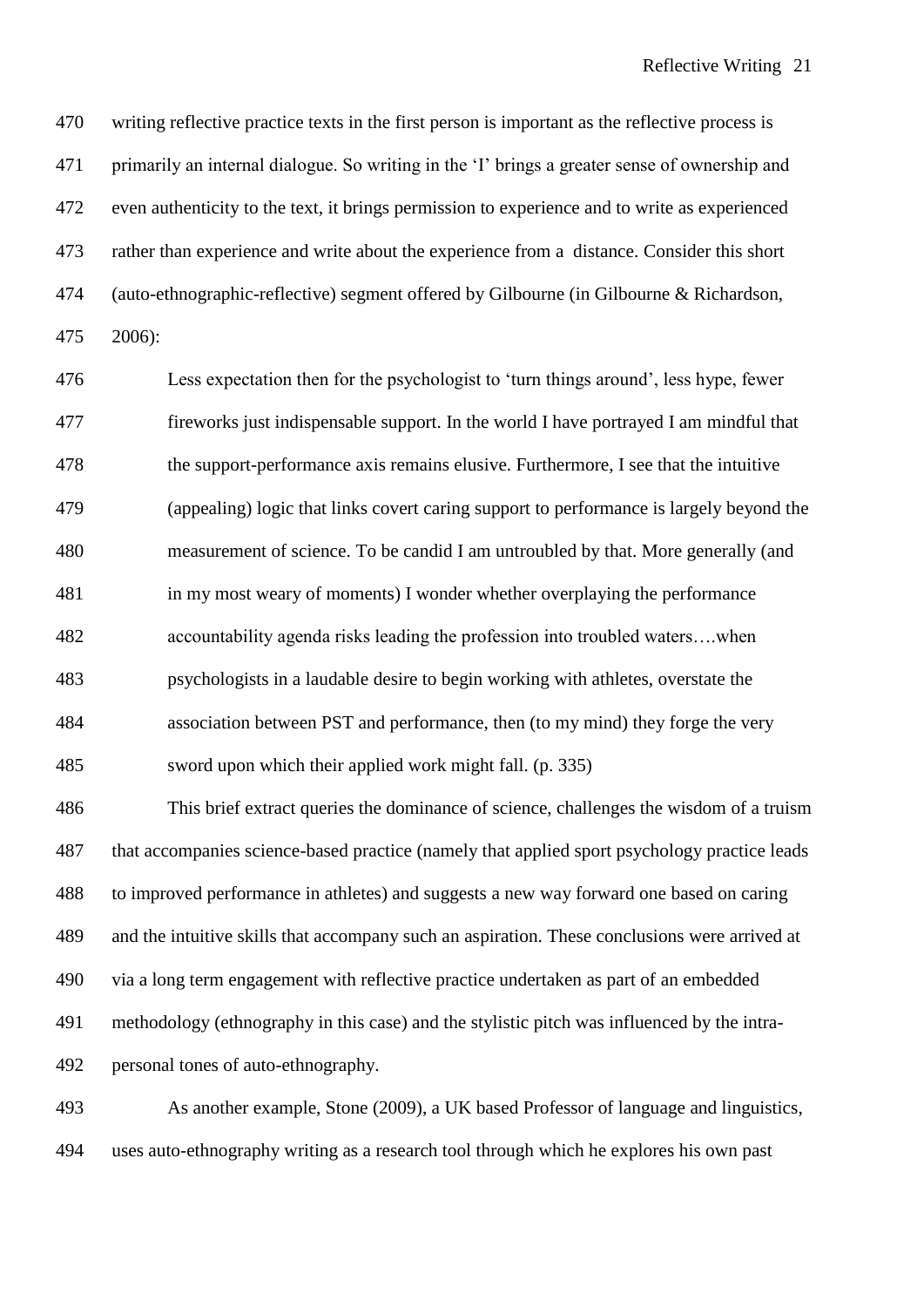writing reflective practice texts in the first person is important as the reflective process is primarily an internal dialogue. So writing in the 'I' brings a greater sense of ownership and even authenticity to the text, it brings permission to experience and to write as experienced rather than experience and write about the experience from a distance. Consider this short (auto-ethnographic-reflective) segment offered by Gilbourne (in Gilbourne & Richardson, 2006):

 Less expectation then for the psychologist to 'turn things around', less hype, fewer fireworks just indispensable support. In the world I have portrayed I am mindful that the support-performance axis remains elusive. Furthermore, I see that the intuitive (appealing) logic that links covert caring support to performance is largely beyond the measurement of science. To be candid I am untroubled by that. More generally (and in my most weary of moments) I wonder whether overplaying the performance accountability agenda risks leading the profession into troubled waters….when psychologists in a laudable desire to begin working with athletes, overstate the association between PST and performance, then (to my mind) they forge the very sword upon which their applied work might fall. (p. 335) This brief extract queries the dominance of science, challenges the wisdom of a truism that accompanies science-based practice (namely that applied sport psychology practice leads to improved performance in athletes) and suggests a new way forward one based on caring and the intuitive skills that accompany such an aspiration. These conclusions were arrived at via a long term engagement with reflective practice undertaken as part of an embedded methodology (ethnography in this case) and the stylistic pitch was influenced by the intra-personal tones of auto-ethnography.

 As another example, Stone (2009), a UK based Professor of language and linguistics, uses auto-ethnography writing as a research tool through which he explores his own past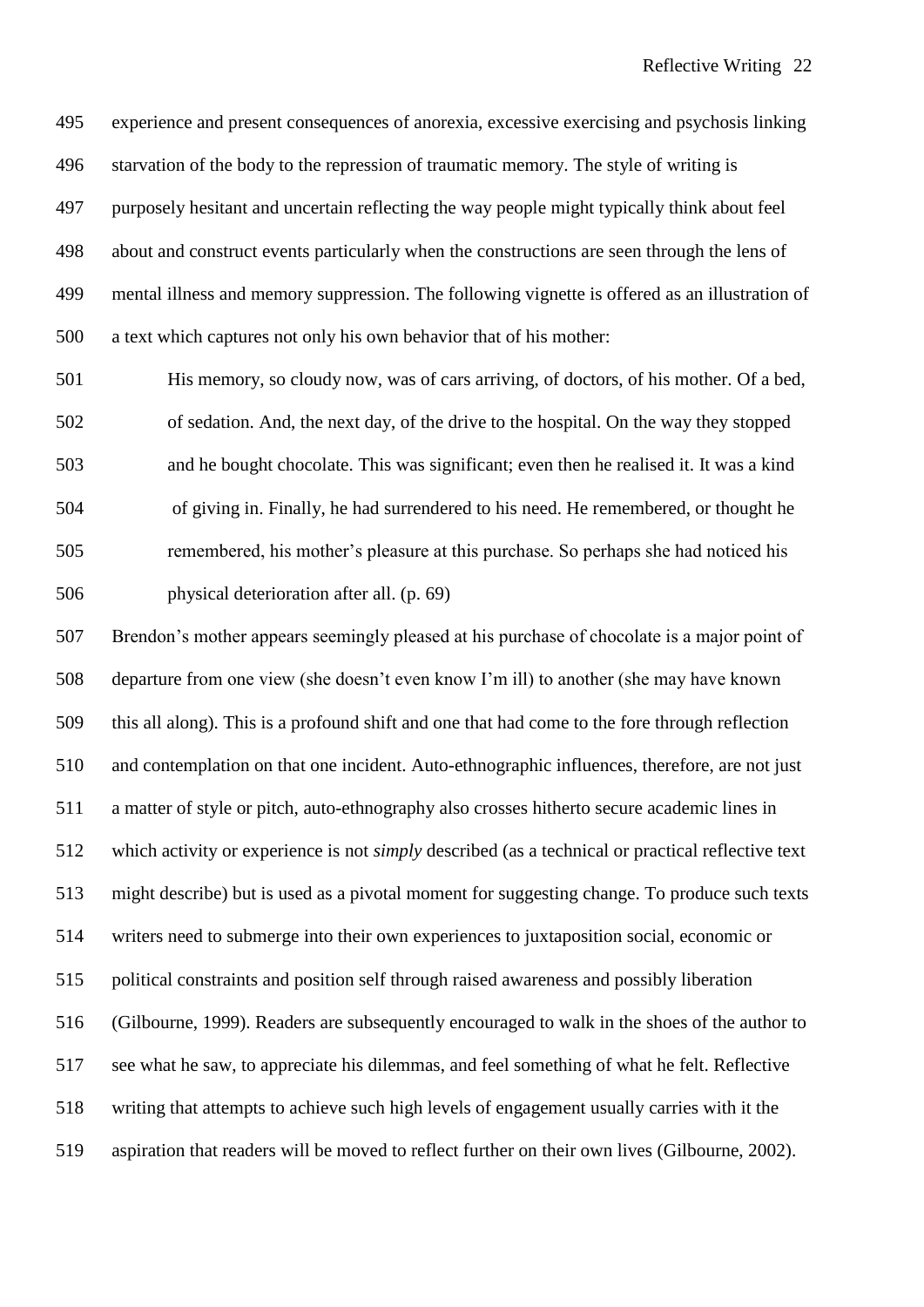experience and present consequences of anorexia, excessive exercising and psychosis linking starvation of the body to the repression of traumatic memory. The style of writing is purposely hesitant and uncertain reflecting the way people might typically think about feel about and construct events particularly when the constructions are seen through the lens of mental illness and memory suppression. The following vignette is offered as an illustration of a text which captures not only his own behavior that of his mother:

 His memory, so cloudy now, was of cars arriving, of doctors, of his mother. Of a bed, of sedation. And, the next day, of the drive to the hospital. On the way they stopped and he bought chocolate. This was significant; even then he realised it. It was a kind of giving in. Finally, he had surrendered to his need. He remembered, or thought he remembered, his mother's pleasure at this purchase. So perhaps she had noticed his physical deterioration after all. (p. 69)

 Brendon's mother appears seemingly pleased at his purchase of chocolate is a major point of departure from one view (she doesn't even know I'm ill) to another (she may have known this all along). This is a profound shift and one that had come to the fore through reflection and contemplation on that one incident. Auto-ethnographic influences, therefore, are not just a matter of style or pitch, auto-ethnography also crosses hitherto secure academic lines in which activity or experience is not *simply* described (as a technical or practical reflective text might describe) but is used as a pivotal moment for suggesting change. To produce such texts writers need to submerge into their own experiences to juxtaposition social, economic or political constraints and position self through raised awareness and possibly liberation (Gilbourne, 1999). Readers are subsequently encouraged to walk in the shoes of the author to see what he saw, to appreciate his dilemmas, and feel something of what he felt. Reflective writing that attempts to achieve such high levels of engagement usually carries with it the aspiration that readers will be moved to reflect further on their own lives (Gilbourne, 2002).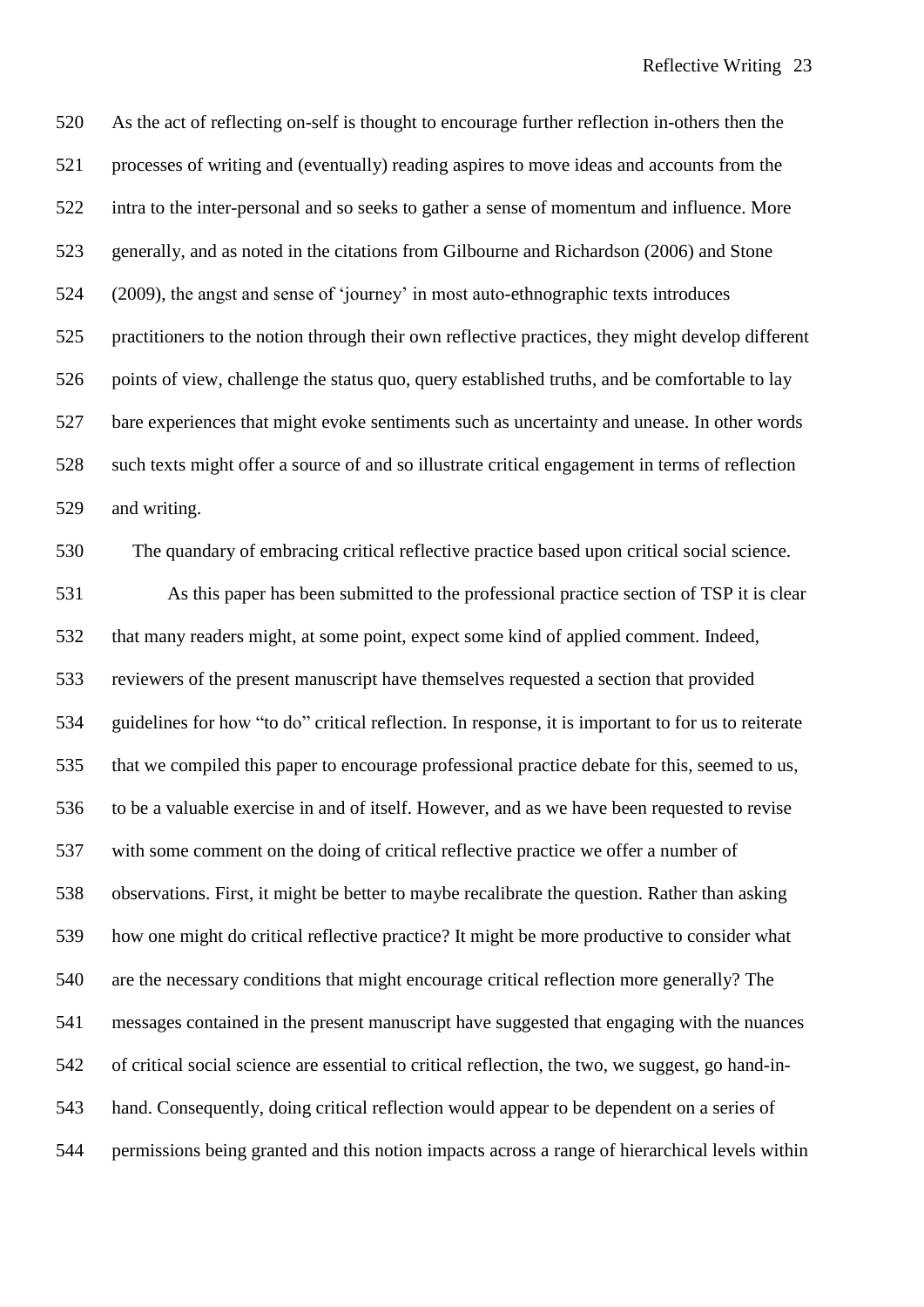As the act of reflecting on-self is thought to encourage further reflection in-others then the processes of writing and (eventually) reading aspires to move ideas and accounts from the intra to the inter-personal and so seeks to gather a sense of momentum and influence. More generally, and as noted in the citations from Gilbourne and Richardson (2006) and Stone (2009), the angst and sense of 'journey' in most auto-ethnographic texts introduces practitioners to the notion through their own reflective practices, they might develop different points of view, challenge the status quo, query established truths, and be comfortable to lay bare experiences that might evoke sentiments such as uncertainty and unease. In other words such texts might offer a source of and so illustrate critical engagement in terms of reflection and writing.

The quandary of embracing critical reflective practice based upon critical social science.

 As this paper has been submitted to the professional practice section of TSP it is clear that many readers might, at some point, expect some kind of applied comment. Indeed, reviewers of the present manuscript have themselves requested a section that provided guidelines for how "to do" critical reflection. In response, it is important to for us to reiterate that we compiled this paper to encourage professional practice debate for this, seemed to us, to be a valuable exercise in and of itself. However, and as we have been requested to revise with some comment on the doing of critical reflective practice we offer a number of observations. First, it might be better to maybe recalibrate the question. Rather than asking how one might do critical reflective practice? It might be more productive to consider what are the necessary conditions that might encourage critical reflection more generally? The messages contained in the present manuscript have suggested that engaging with the nuances of critical social science are essential to critical reflection, the two, we suggest, go hand-in- hand. Consequently, doing critical reflection would appear to be dependent on a series of permissions being granted and this notion impacts across a range of hierarchical levels within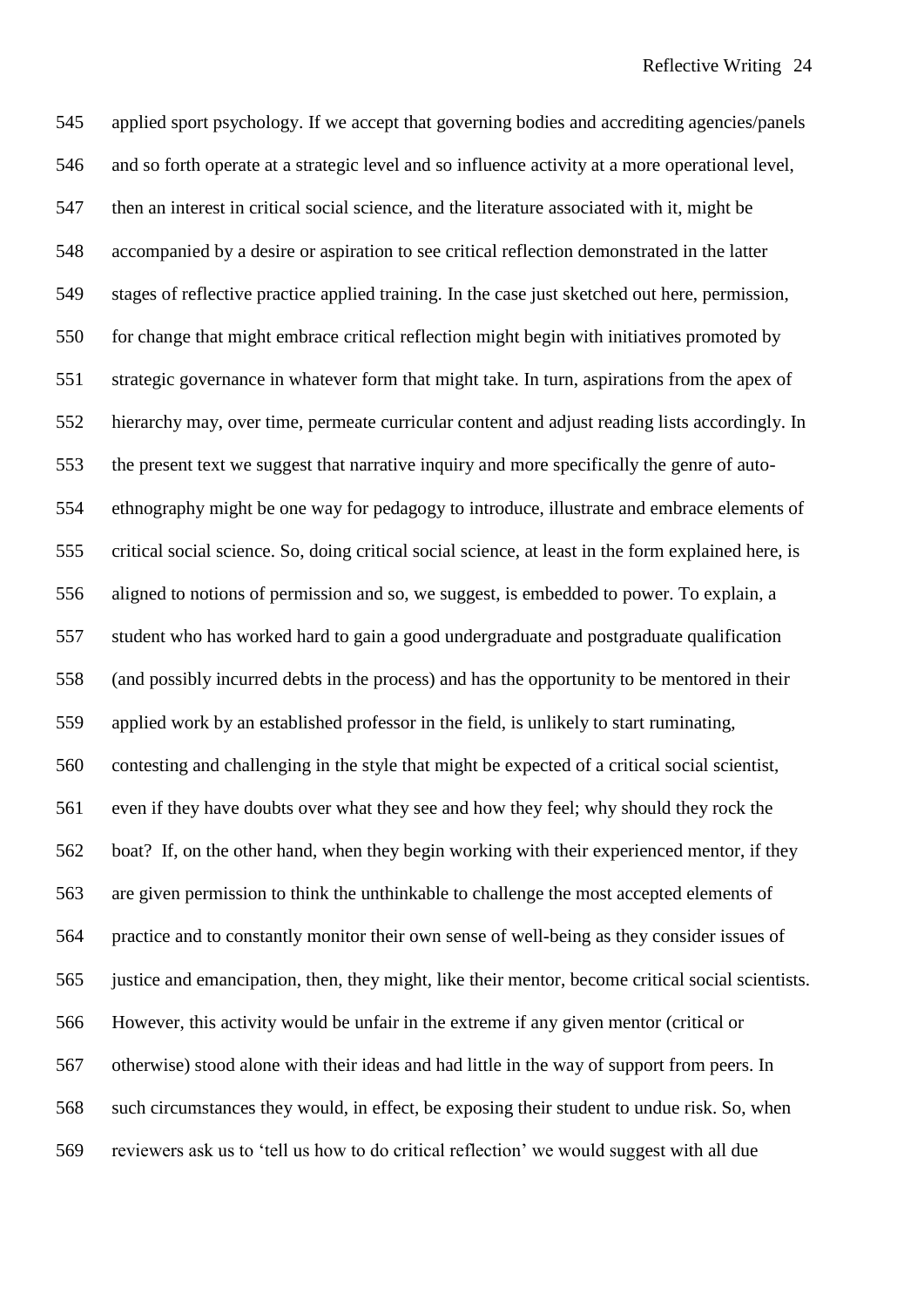applied sport psychology. If we accept that governing bodies and accrediting agencies/panels and so forth operate at a strategic level and so influence activity at a more operational level, then an interest in critical social science, and the literature associated with it, might be accompanied by a desire or aspiration to see critical reflection demonstrated in the latter stages of reflective practice applied training. In the case just sketched out here, permission, for change that might embrace critical reflection might begin with initiatives promoted by strategic governance in whatever form that might take. In turn, aspirations from the apex of hierarchy may, over time, permeate curricular content and adjust reading lists accordingly. In the present text we suggest that narrative inquiry and more specifically the genre of auto- ethnography might be one way for pedagogy to introduce, illustrate and embrace elements of critical social science. So, doing critical social science, at least in the form explained here, is aligned to notions of permission and so, we suggest, is embedded to power. To explain, a student who has worked hard to gain a good undergraduate and postgraduate qualification (and possibly incurred debts in the process) and has the opportunity to be mentored in their applied work by an established professor in the field, is unlikely to start ruminating, contesting and challenging in the style that might be expected of a critical social scientist, even if they have doubts over what they see and how they feel; why should they rock the boat? If, on the other hand, when they begin working with their experienced mentor, if they are given permission to think the unthinkable to challenge the most accepted elements of practice and to constantly monitor their own sense of well-being as they consider issues of justice and emancipation, then, they might, like their mentor, become critical social scientists. However, this activity would be unfair in the extreme if any given mentor (critical or otherwise) stood alone with their ideas and had little in the way of support from peers. In such circumstances they would, in effect, be exposing their student to undue risk. So, when reviewers ask us to 'tell us how to do critical reflection' we would suggest with all due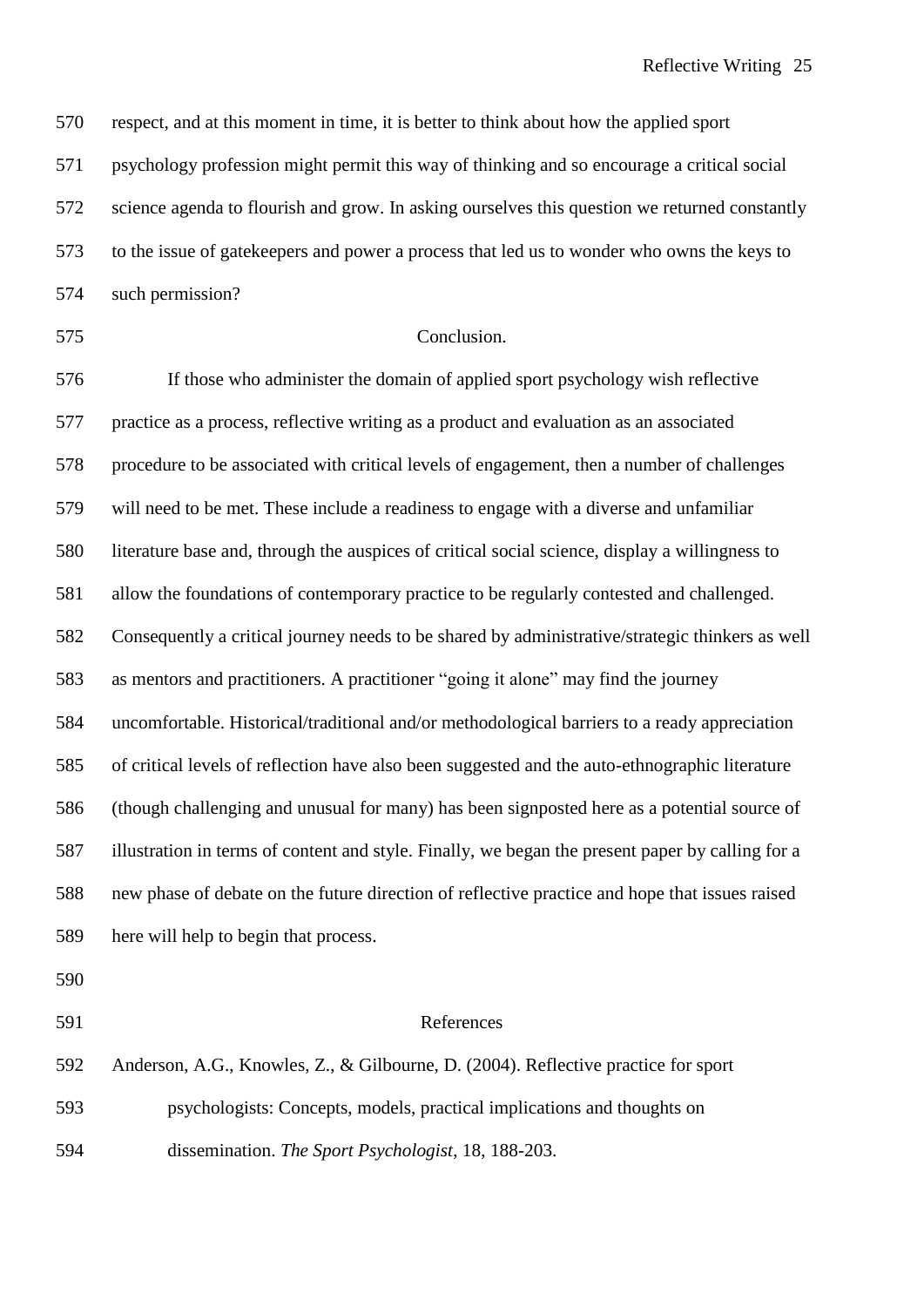respect, and at this moment in time, it is better to think about how the applied sport psychology profession might permit this way of thinking and so encourage a critical social science agenda to flourish and grow. In asking ourselves this question we returned constantly to the issue of gatekeepers and power a process that led us to wonder who owns the keys to such permission?

## Conclusion.

 If those who administer the domain of applied sport psychology wish reflective practice as a process, reflective writing as a product and evaluation as an associated procedure to be associated with critical levels of engagement, then a number of challenges will need to be met. These include a readiness to engage with a diverse and unfamiliar literature base and, through the auspices of critical social science, display a willingness to allow the foundations of contemporary practice to be regularly contested and challenged. Consequently a critical journey needs to be shared by administrative/strategic thinkers as well as mentors and practitioners. A practitioner "going it alone" may find the journey uncomfortable. Historical/traditional and/or methodological barriers to a ready appreciation of critical levels of reflection have also been suggested and the auto-ethnographic literature (though challenging and unusual for many) has been signposted here as a potential source of illustration in terms of content and style. Finally, we began the present paper by calling for a new phase of debate on the future direction of reflective practice and hope that issues raised here will help to begin that process.

- 
- 

#### References

 Anderson, A.G., Knowles, Z., & Gilbourne, D. (2004). Reflective practice for sport psychologists: Concepts, models, practical implications and thoughts on dissemination. *The Sport Psychologist*, 18, 188-203.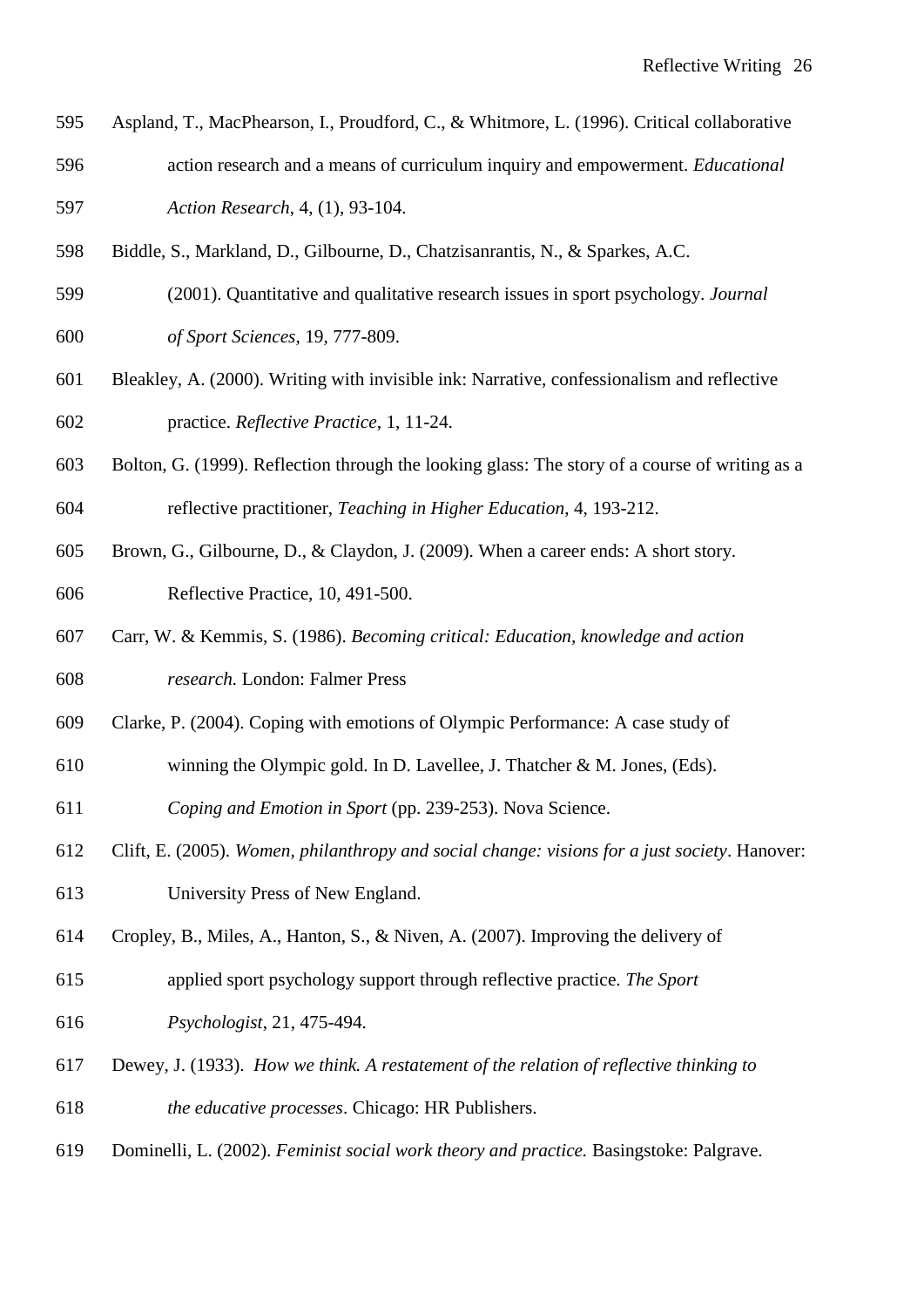- Aspland, T., MacPhearson, I., Proudford, C., & Whitmore, L. (1996). Critical collaborative
- action research and a means of curriculum inquiry and empowerment. *Educational Action Research*, 4, (1), 93-104.
- Biddle, S., Markland, D., Gilbourne, D., Chatzisanrantis, N., & Sparkes, A.C.
- (2001). Quantitative and qualitative research issues in sport psychology. *Journal of Sport Sciences*, 19, 777-809.
- Bleakley, A. (2000). Writing with invisible ink: Narrative, confessionalism and reflective practice. *Reflective Practice*, 1, 11-24.
- Bolton, G. (1999). Reflection through the looking glass: The story of a course of writing as a reflective practitioner, *Teaching in Higher Education*, 4, 193-212.
- Brown, G., Gilbourne, D., & Claydon, J. (2009). When a career ends: A short story.
- Reflective Practice, 10, 491-500.
- Carr, W. & Kemmis, S. (1986). *Becoming critical: Education, knowledge and action research.* London: Falmer Press
- Clarke, P. (2004). Coping with emotions of Olympic Performance: A case study of
- winning the Olympic gold. In D. Lavellee, J. Thatcher & M. Jones, (Eds).
- *Coping and Emotion in Sport* (pp. 239-253). Nova Science.
- Clift, E. (2005). *Women, philanthropy and social change: visions for a just society*. Hanover: University Press of New England.
- Cropley, B., Miles, A., Hanton, S., & Niven, A. (2007). Improving the delivery of
- applied sport psychology support through reflective practice. *The Sport*
- *Psychologist*, 21, 475-494.
- Dewey, J. (1933). *How we think. A restatement of the relation of reflective thinking to the educative processes*. Chicago: HR Publishers.
- Dominelli, L. (2002). *Feminist social work theory and practice.* Basingstoke: Palgrave.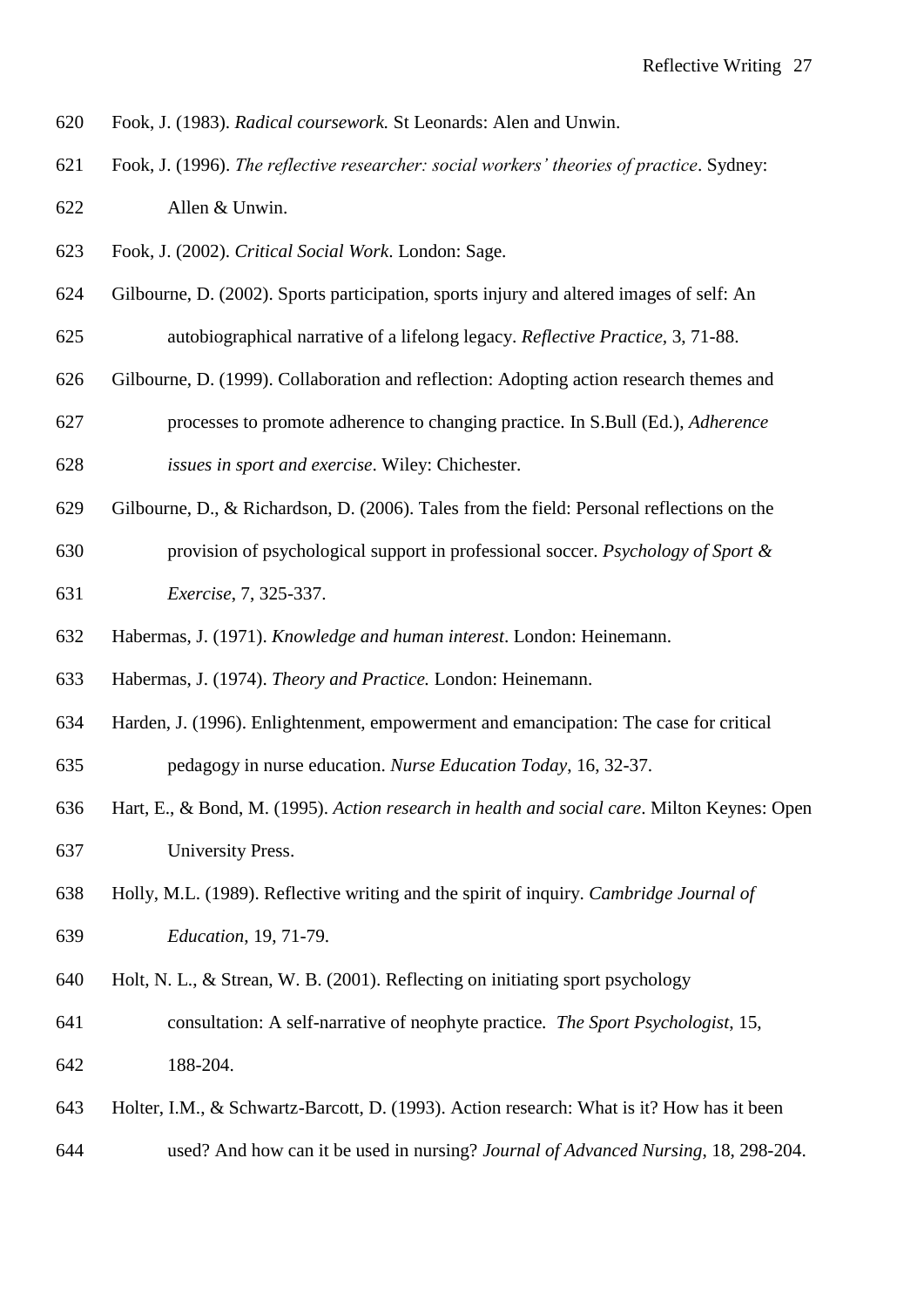- Fook, J. (1983). *Radical coursework.* St Leonards: Alen and Unwin.
- Fook, J. (1996). *The reflective researcher: social workers' theories of practice*. Sydney: Allen & Unwin.
- Fook, J. (2002). *Critical Social Work*. London: Sage.
- Gilbourne, D. (2002). Sports participation, sports injury and altered images of self: An
- autobiographical narrative of a lifelong legacy. *Reflective Practice,* 3, 71-88.
- Gilbourne, D. (1999). Collaboration and reflection: Adopting action research themes and
- processes to promote adherence to changing practice. In S.Bull (Ed.), *Adherence*
- *issues in sport and exercise*. Wiley: Chichester.
- Gilbourne, D., & Richardson, D. (2006). Tales from the field: Personal reflections on the
- provision of psychological support in professional soccer. *Psychology of Sport &*
- *Exercise*, 7, 325-337.
- Habermas, J. (1971). *Knowledge and human interest*. London: Heinemann.
- Habermas, J. (1974). *Theory and Practice.* London: Heinemann.
- Harden, J. (1996). Enlightenment, empowerment and emancipation: The case for critical
- pedagogy in nurse education. *Nurse Education Today*, 16, 32-37.
- Hart, E., & Bond, M. (1995). *Action research in health and social care*. Milton Keynes: Open University Press.
- Holly, M.L. (1989). Reflective writing and the spirit of inquiry. *Cambridge Journal of Education*, 19, 71-79.
- Holt, N. L., & Strean, W. B. (2001). Reflecting on initiating sport psychology
- consultation: A self-narrative of neophyte practice*. The Sport Psychologist*, 15, 188-204.
- Holter, I.M., & Schwartz-Barcott, D. (1993). Action research: What is it? How has it been
- used? And how can it be used in nursing? *Journal of Advanced Nursing*, 18, 298-204.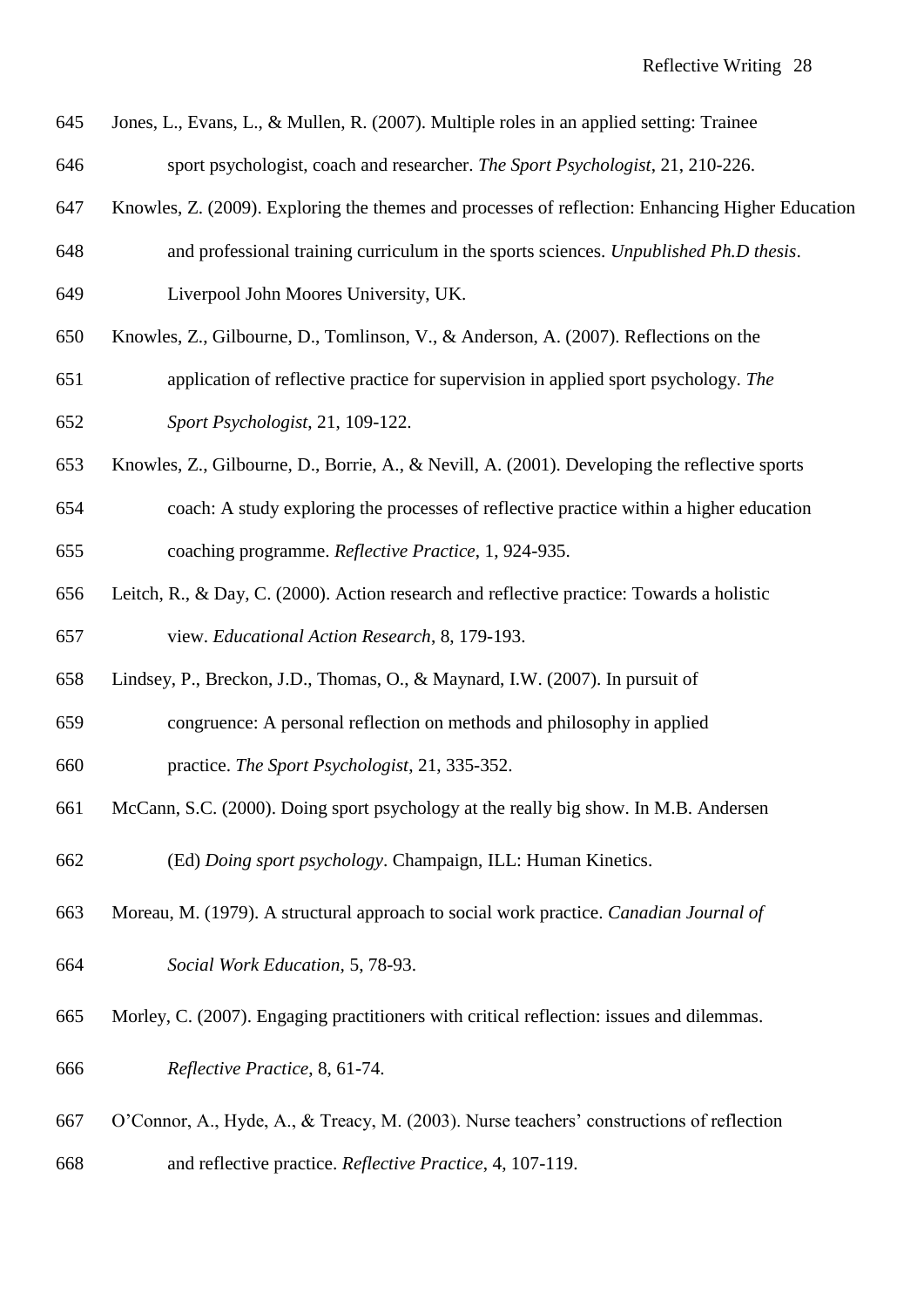- Jones, L., Evans, L., & Mullen, R. (2007). Multiple roles in an applied setting: Trainee sport psychologist, coach and researcher. *The Sport Psychologist*, 21, 210-226.
- Knowles, Z. (2009). Exploring the themes and processes of reflection: Enhancing Higher Education and professional training curriculum in the sports sciences. *Unpublished Ph.D thesis*.
- Liverpool John Moores University, UK.
- Knowles, Z., Gilbourne, D., Tomlinson, V., & Anderson, A. (2007). Reflections on the
- application of reflective practice for supervision in applied sport psychology. *The Sport Psychologist*, 21, 109-122.
- Knowles, Z., Gilbourne, D., Borrie, A., & Nevill, A. (2001). Developing the reflective sports
- coach: A study exploring the processes of reflective practice within a higher education coaching programme. *Reflective Practice*, 1, 924-935.
- Leitch, R., & Day, C. (2000). Action research and reflective practice: Towards a holistic view. *Educational Action Research*, 8, 179-193.
- Lindsey, P., Breckon, J.D., Thomas, O., & Maynard, I.W. (2007). In pursuit of
- congruence: A personal reflection on methods and philosophy in applied practice. *The Sport Psychologist*, 21, 335-352.
- McCann, S.C. (2000). Doing sport psychology at the really big show. In M.B. Andersen
- (Ed) *Doing sport psychology*. Champaign, ILL: Human Kinetics.
- Moreau, M. (1979). A structural approach to social work practice. *Canadian Journal of*
- *Social Work Education,* 5, 78-93.
- Morley, C. (2007). Engaging practitioners with critical reflection: issues and dilemmas.
- *Reflective Practice*, 8, 61-74.
- O'Connor, A., Hyde, A., & Treacy, M. (2003). Nurse teachers' constructions of reflection
- and reflective practice. *Reflective Practice*, 4, 107-119.